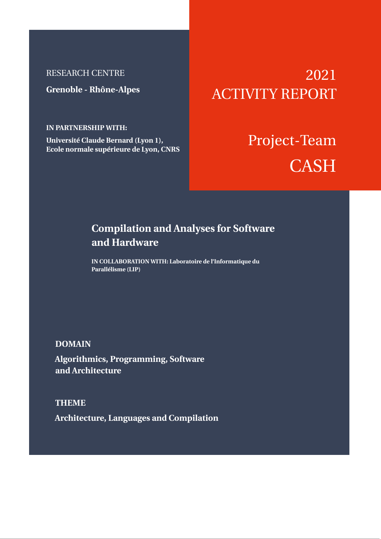# RESEARCH CENTRE

**Grenoble - Rhône-Alpes**

**IN PARTNERSHIP WITH:**

**Université Claude Bernard (Lyon 1), Ecole normale supérieure de Lyon, CNRS**

# 2021 ACTIVITY REPORT

# Project-Team **CASH**

# **Compilation and Analyses for Software and Hardware**

**IN COLLABORATION WITH: Laboratoire de l'Informatique du Parallélisme (LIP)**

# **DOMAIN**

**Algorithmics, Programming, Software and Architecture**

**THEME Architecture, Languages and Compilation**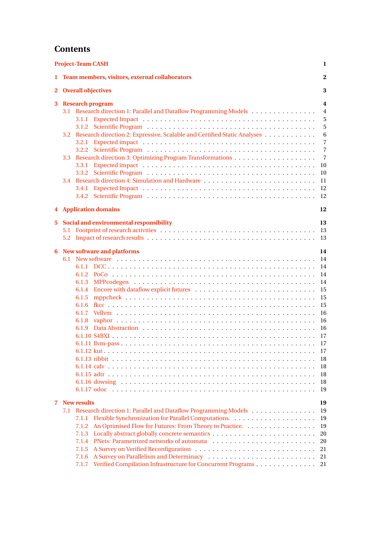# **Contents**

|                                           | <b>Project-Team CASH</b>                                                                                                                                                                                                                                                             |                                                                                                                        |  |  |
|-------------------------------------------|--------------------------------------------------------------------------------------------------------------------------------------------------------------------------------------------------------------------------------------------------------------------------------------|------------------------------------------------------------------------------------------------------------------------|--|--|
|                                           | 1 Team members, visitors, external collaborators                                                                                                                                                                                                                                     | $\bf{2}$                                                                                                               |  |  |
| <b>Overall objectives</b><br>$\mathbf{2}$ |                                                                                                                                                                                                                                                                                      |                                                                                                                        |  |  |
| 3                                         | <b>Research program</b><br>Research direction 1: Parallel and Dataflow Programming Models<br>3.1<br>Research direction 2: Expressive, Scalable and Certified Static Analyses<br>3.2<br>3.2.1<br>3.3<br>3.3.1<br>3.3.2<br>3.4<br>3.4.1                                                | 4<br>$\overline{4}$<br>5<br>5<br>6<br>$\overline{7}$<br>$\overline{7}$<br>$\overline{7}$<br>10<br>10<br>11<br>12<br>12 |  |  |
|                                           | <b>4</b> Application domains                                                                                                                                                                                                                                                         | 12                                                                                                                     |  |  |
| 5.                                        | Social and environmental responsibility                                                                                                                                                                                                                                              | 13<br>-13<br>13                                                                                                        |  |  |
| 6                                         | <b>New software and platforms</b><br>6.1.5<br>6.1.6<br>6.1.8<br>6.1.9                                                                                                                                                                                                                | 14<br>14<br>14<br>14<br>14<br>15<br>15<br>15<br>16<br>16<br>16<br>17<br>17<br>18<br>18<br>18<br>18<br>19               |  |  |
| 7                                         | <b>New results</b><br>7.1 Research direction 1: Parallel and Dataflow Programming Models<br>7.1.1<br>An Optimised Flow for Futures: From Theory to Practice.<br>7.1.2<br>7.1.3<br>7.1.4<br>7.1.5<br>7.1.6<br>Verified Compilation Infrastructure for Concurrent Programs 21<br>7.1.7 | 19<br>19<br>19<br>19<br>20<br>20<br>21<br>21                                                                           |  |  |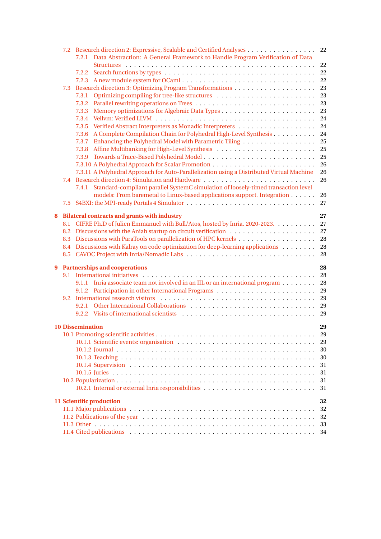|   |     | 7.2 Research direction 2: Expressive, Scalable and Certified Analyses                      | 22       |
|---|-----|--------------------------------------------------------------------------------------------|----------|
|   |     | Data Abstraction: A General Framework to Handle Program Verification of Data<br>7.2.1      |          |
|   |     |                                                                                            | 22       |
|   |     | 7.2.2                                                                                      | 22<br>22 |
|   |     |                                                                                            | 23       |
|   | 7.3 | 7.3.1                                                                                      | 23       |
|   |     | 7.3.2                                                                                      | 23       |
|   |     | 7.3.3                                                                                      | 23       |
|   |     | 7.3.4                                                                                      | 24       |
|   |     | 7.3.5                                                                                      | 24       |
|   |     | A Complete Compilation Chain for Polyhedral High-Level Synthesis<br>7.3.6                  | 24       |
|   |     | 7.3.7                                                                                      | 25       |
|   |     | 7.3.8                                                                                      | 25       |
|   |     | 7.3.9                                                                                      | 25       |
|   |     |                                                                                            | 26       |
|   |     | 7.3.11 A Polyhedral Approach for Auto-Parallelization using a Distributed Virtual Machine  | 26       |
|   | 7.4 | Research direction 4: Simulation and Hardware                                              | 26       |
|   |     | Standard-compliant parallel SystemC simulation of loosely-timed transaction level<br>7.4.1 |          |
|   |     | models: From baremetal to Linux-based applications support. Integration                    | 26       |
|   |     |                                                                                            | 27       |
| 8 |     | <b>Bilateral contracts and grants with industry</b>                                        | 27       |
|   | 8.1 | CIFRE Ph.D of Julien Emmanuel with Bull/Atos, hosted by Inria. 2020-2023.                  | 27       |
|   | 8.2 |                                                                                            | 27       |
|   |     |                                                                                            | 28       |
|   |     | 8.4 Discussions with Kalray on code optimization for deep-learning applications            | 28       |
|   |     | 8.5 CAVOC Project with Inria/Nomadic Labs                                                  | 28       |
| 9 |     | <b>Partnerships and cooperations</b>                                                       | 28       |
|   |     |                                                                                            | 28       |
|   |     | 9.1.1 Inria associate team not involved in an IIL or an international program              | 28       |
|   |     |                                                                                            | 29       |
|   | 9.2 |                                                                                            |          |
|   |     |                                                                                            |          |
|   |     |                                                                                            |          |
|   |     | <b>10 Dissemination</b>                                                                    | 29       |
|   |     |                                                                                            | 29       |
|   |     |                                                                                            | 29       |
|   |     |                                                                                            | 30       |
|   |     |                                                                                            | 30       |
|   |     |                                                                                            | 31       |
|   |     |                                                                                            | 31       |
|   |     |                                                                                            | 31       |
|   |     |                                                                                            | 31       |
|   |     | 11 Scientific production                                                                   | 32       |
|   |     |                                                                                            | 32       |
|   |     |                                                                                            | 32       |
|   |     |                                                                                            | 33       |
|   |     |                                                                                            | 34       |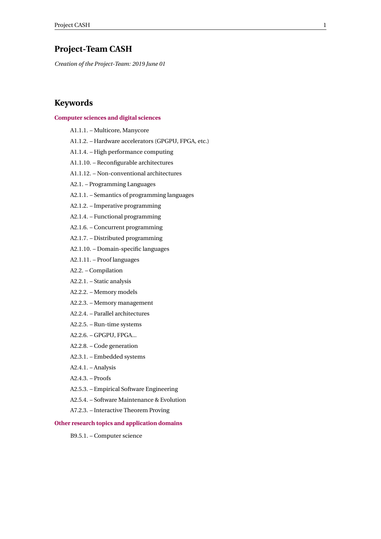# <span id="page-3-0"></span>**Project-Team CASH**

*Creation of the Project-Team: 2019 June 01*

# **Keywords**

## **[Computer sciences and digital sciences](https://raweb.inria.fr/rapportsactivite/RA2021/static/keywords/ComputerScienceandDigitalScience.html)**

A1.1.1. – Multicore, Manycore A1.1.2. – Hardware accelerators (GPGPU, FPGA, etc.) A1.1.4. – High performance computing A1.1.10. – Reconfigurable architectures A1.1.12. – Non-conventional architectures A2.1. – Programming Languages A2.1.1. – Semantics of programming languages A2.1.2. – Imperative programming A2.1.4. – Functional programming A2.1.6. – Concurrent programming A2.1.7. – Distributed programming A2.1.10. – Domain-specific languages A2.1.11. – Proof languages A2.2. – Compilation A2.2.1. – Static analysis A2.2.2. – Memory models A2.2.3. – Memory management A2.2.4. – Parallel architectures A2.2.5. – Run-time systems A2.2.6. – GPGPU, FPGA... A2.2.8. – Code generation A2.3.1. – Embedded systems A2.4.1. – Analysis A2.4.3. – Proofs A2.5.3. – Empirical Software Engineering A2.5.4. – Software Maintenance & Evolution A7.2.3. – Interactive Theorem Proving

# **[Other research topics and application domains](https://raweb.inria.fr/rapportsactivite/RA2021/static/keywords/OtherResearchTopicsandApplicationDomains.html)**

B9.5.1. – Computer science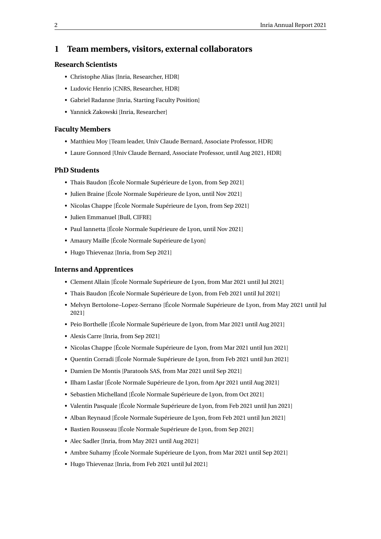# <span id="page-4-0"></span>**1 Team members, visitors, external collaborators**

# **Research Scientists**

- Christophe Alias [Inria, Researcher, HDR]
- Ludovic Henrio [CNRS, Researcher, HDR]
- Gabriel Radanne [Inria, Starting Faculty Position]
- Yannick Zakowski [Inria, Researcher]

# **Faculty Members**

- Matthieu Moy [Team leader, Univ Claude Bernard, Associate Professor, HDR]
- Laure Gonnord [Univ Claude Bernard, Associate Professor, until Aug 2021, HDR]

#### **PhD Students**

- Thais Baudon [École Normale Supérieure de Lyon, from Sep 2021]
- Julien Braine [École Normale Supérieure de Lyon, until Nov 2021]
- Nicolas Chappe [École Normale Supérieure de Lyon, from Sep 2021]
- Julien Emmanuel [Bull, CIFRE]
- Paul Iannetta [École Normale Supérieure de Lyon, until Nov 2021]
- Amaury Maille [École Normale Supérieure de Lyon]
- Hugo Thievenaz [Inria, from Sep 2021]

# **Interns and Apprentices**

- Clement Allain [École Normale Supérieure de Lyon, from Mar 2021 until Jul 2021]
- Thais Baudon [École Normale Supérieure de Lyon, from Feb 2021 until Jul 2021]
- Melvyn Bertolone–Lopez-Serrano [École Normale Supérieure de Lyon, from May 2021 until Jul 2021]
- Peio Borthelle [École Normale Supérieure de Lyon, from Mar 2021 until Aug 2021]
- Alexis Carre [Inria, from Sep 2021]
- Nicolas Chappe [École Normale Supérieure de Lyon, from Mar 2021 until Jun 2021]
- Quentin Corradi [École Normale Supérieure de Lyon, from Feb 2021 until Jun 2021]
- Damien De Montis [Paratools SAS, from Mar 2021 until Sep 2021]
- Ilham Lasfar [École Normale Supérieure de Lyon, from Apr 2021 until Aug 2021]
- Sebastien Michelland [École Normale Supérieure de Lyon, from Oct 2021]
- Valentin Pasquale [École Normale Supérieure de Lyon, from Feb 2021 until Jun 2021]
- Alban Reynaud [École Normale Supérieure de Lyon, from Feb 2021 until Jun 2021]
- Bastien Rousseau [École Normale Supérieure de Lyon, from Sep 2021]
- Alec Sadler [Inria, from May 2021 until Aug 2021]
- Ambre Suhamy [École Normale Supérieure de Lyon, from Mar 2021 until Sep 2021]
- Hugo Thievenaz [Inria, from Feb 2021 until Jul 2021]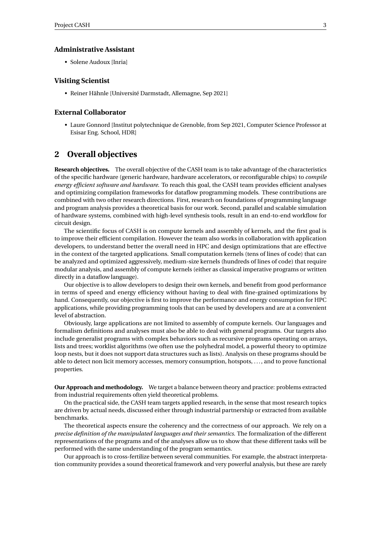# **Administrative Assistant**

• Solene Audoux [Inria]

# **Visiting Scientist**

• Reiner Hähnle [Université Darmstadt, Allemagne, Sep 2021]

# **External Collaborator**

• Laure Gonnord [Institut polytechnique de Grenoble, from Sep 2021, Computer Science Professor at Esisar Eng. School, HDR]

# <span id="page-5-0"></span>**2 Overall objectives**

**Research objectives.** The overall objective of the CASH team is to take advantage of the characteristics of the specific hardware (generic hardware, hardware accelerators, or reconfigurable chips) to *compile energy efficient software and hardware*. To reach this goal, the CASH team provides efficient analyses and optimizing compilation frameworks for dataflow programming models. These contributions are combined with two other research directions. First, research on foundations of programming language and program analysis provides a theoretical basis for our work. Second, parallel and scalable simulation of hardware systems, combined with high-level synthesis tools, result in an end-to-end workflow for circuit design.

The scientific focus of CASH is on compute kernels and assembly of kernels, and the first goal is to improve their efficient compilation. However the team also works in collaboration with application developers, to understand better the overall need in HPC and design optimizations that are effective in the context of the targeted applications. Small computation kernels (tens of lines of code) that can be analyzed and optimized aggressively, medium-size kernels (hundreds of lines of code) that require modular analysis, and assembly of compute kernels (either as classical imperative programs or written directly in a dataflow language).

Our objective is to allow developers to design their own kernels, and benefit from good performance in terms of speed and energy efficiency without having to deal with fine-grained optimizations by hand. Consequently, our objective is first to improve the performance and energy consumption for HPC applications, while providing programming tools that can be used by developers and are at a convenient level of abstraction.

Obviously, large applications are not limited to assembly of compute kernels. Our languages and formalism definitions and analyses must also be able to deal with general programs. Our targets also include generalist programs with complex behaviors such as recursive programs operating on arrays, lists and trees; worklist algorithms (we often use the polyhedral model, a powerful theory to optimize loop nests, but it does not support data structures such as lists). Analysis on these programs should be able to detect non licit memory accesses, memory consumption, hotspots, . . . , and to prove functional properties.

**Our Approach and methodology.** We target a balance between theory and practice: problems extracted from industrial requirements often yield theoretical problems.

On the practical side, the CASH team targets applied research, in the sense that most research topics are driven by actual needs, discussed either through industrial partnership or extracted from available benchmarks.

The theoretical aspects ensure the coherency and the correctness of our approach. We rely on a *precise definition of the manipulated languages and their semantics*. The formalization of the different representations of the programs and of the analyses allow us to show that these different tasks will be performed with the same understanding of the program semantics.

Our approach is to cross-fertilize between several communities. For example, the abstract interpretation community provides a sound theoretical framework and very powerful analysis, but these are rarely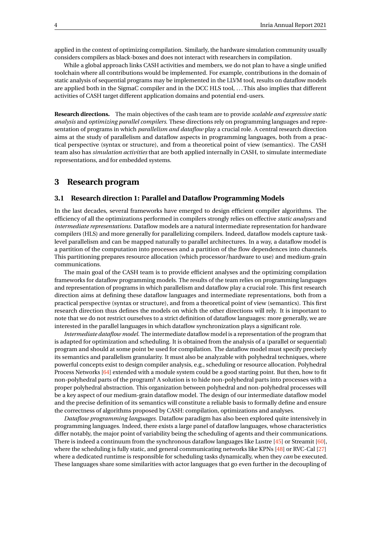applied in the context of optimizing compilation. Similarly, the hardware simulation community usually considers compilers as black-boxes and does not interact with researchers in compilation.

While a global approach links CASH activities and members, we do not plan to have a single unified toolchain where all contributions would be implemented. For example, contributions in the domain of static analysis of sequential programs may be implemented in the LLVM tool, results on dataflow models are applied both in the SigmaC compiler and in the DCC HLS tool, .. . This also implies that different activities of CASH target different application domains and potential end-users.

**Research directions.** The main objectives of the cash team are to provide *scalable and expressive static analysis* and *optimizing parallel compilers*. These directions rely on programming languages and representation of programs in which *parallelism and dataflow* play a crucial role. A central research direction aims at the study of parallelism and dataflow aspects in programming languages, both from a practical perspective (syntax or structure), and from a theoretical point of view (semantics). The CASH team also has *simulation activities* that are both applied internally in CASH, to simulate intermediate representations, and for embedded systems.

# <span id="page-6-0"></span>**3 Research program**

# <span id="page-6-1"></span>**3.1 Research direction 1: Parallel and Dataflow Programming Models**

In the last decades, several frameworks have emerged to design efficient compiler algorithms. The efficiency of all the optimizations performed in compilers strongly relies on effective *static analyses* and *intermediate representations*. Dataflow models are a natural intermediate representation for hardware compilers (HLS) and more generally for parallelizing compilers. Indeed, dataflow models capture tasklevel parallelism and can be mapped naturally to parallel architectures. In a way, a dataflow model is a partition of the computation into processes and a partition of the flow dependences into channels. This partitioning prepares resource allocation (which processor/hardware to use) and medium-grain communications.

The main goal of the CASH team is to provide efficient analyses and the optimizing compilation frameworks for dataflow programming models. The results of the team relies on programming languages and representation of programs in which parallelism and dataflow play a crucial role. This first research direction aims at defining these dataflow languages and intermediate representations, both from a practical perspective (syntax or structure), and from a theoretical point of view (semantics). This first research direction thus defines the models on which the other directions will rely. It is important to note that we do not restrict ourselves to a strict definition of dataflow languages: more generally, we are interested in the parallel languages in which dataflow synchronization plays a significant role.

*Intermediate dataflow model.* The intermediate dataflow model is a representation of the program that is adapted for optimization and scheduling. It is obtained from the analysis of a (parallel or sequential) program and should at some point be used for compilation. The dataflow model must specify precisely its semantics and parallelism granularity. It must also be analyzable with polyhedral techniques, where powerful concepts exist to design compiler analysis, e.g., scheduling or resource allocation. Polyhedral Process Networks [\[64\]](#page-38-0) extended with a module system could be a good starting point. But then, how to fit non-polyhedral parts of the program? A solution is to hide non-polyhedral parts into processes with a proper polyhedral abstraction. This organization between polyhedral and non-polyhedral processes will be a key aspect of our medium-grain dataflow model. The design of our intermediate dataflow model and the precise definition of its semantics will constitute a reliable basis to formally define and ensure the correctness of algorithms proposed by CASH: compilation, optimizations and analyses.

*Dataflow programming languages.* Dataflow paradigm has also been explored quite intensively in programming languages. Indeed, there exists a large panel of dataflow languages, whose characteristics differ notably, the major point of variability being the scheduling of agents and their communications. There is indeed a continuum from the synchronous dataflow languages like Lustre [\[45\]](#page-37-0) or Streamit [\[60\]](#page-38-1), where the scheduling is fully static, and general communicating networks like KPNs [\[48\]](#page-37-1) or RVC-Cal [\[27\]](#page-36-1) where a dedicated runtime is responsible for scheduling tasks dynamically, when they *can* be executed. These languages share some similarities with actor languages that go even further in the decoupling of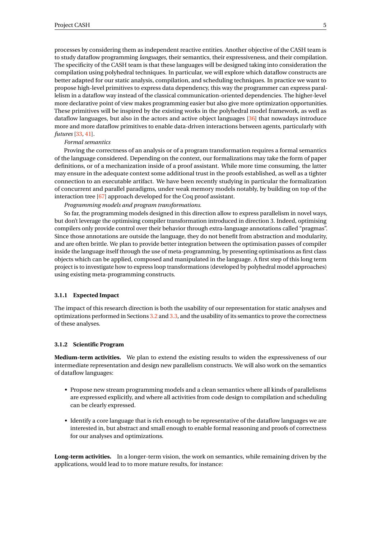processes by considering them as independent reactive entities. Another objective of the CASH team is to study dataflow programming *languages*, their semantics, their expressiveness, and their compilation. The specificity of the CASH team is that these languages will be designed taking into consideration the compilation using polyhedral techniques. In particular, we will explore which dataflow constructs are better adapted for our static analysis, compilation, and scheduling techniques. In practice we want to propose high-level primitives to express data dependency, this way the programmer can express parallelism in a dataflow way instead of the classical communication-oriented dependencies. The higher-level more declarative point of view makes programming easier but also give more optimization opportunities. These primitives will be inspired by the existing works in the polyhedral model framework, as well as dataflow languages, but also in the actors and active object languages [\[36\]](#page-36-2) that nowadays introduce more and more dataflow primitives to enable data-driven interactions between agents, particularly with *futures* [\[33,](#page-36-3) [41\]](#page-37-2).

#### *Formal semantics*

Proving the correctness of an analysis or of a program transformation requires a formal semantics of the language considered. Depending on the context, our formalizations may take the form of paper definitions, or of a mechanization inside of a proof assistant. While more time consuming, the latter may ensure in the adequate context some additional trust in the proofs established, as well as a tighter connection to an executable artifact. We have been recently studying in particular the formalization of concurrent and parallel paradigms, under weak memory models notably, by building on top of the interaction tree [\[67\]](#page-38-2) approach developed for the Coq proof assistant.

*Programming models and program transformations.*

So far, the programming models designed in this direction allow to express parallelism in novel ways, but don't leverage the optimising compiler transformation introduced in direction 3. Indeed, optimising compilers only provide control over their behavior through extra-language annotations called "pragmas". Since those annotations are outside the language, they do not benefit from abstraction and modularity, and are often brittle. We plan to provide better integration between the optimisation passes of compiler inside the language itself through the use of meta-programming, by presenting optimisations as first class objects which can be applied, composed and manipulated in the language. A first step of this long term project is to investigate how to express loop transformations (developed by polyhedral model approaches) using existing meta-programming constructs.

# <span id="page-7-0"></span>**3.1.1 Expected Impact**

The impact of this research direction is both the usability of our representation for static analyses and optimizations performed in Sections [3.2](#page-8-0) and [3.3,](#page-9-2) and the usability of its semantics to prove the correctness of these analyses.

#### <span id="page-7-1"></span>**3.1.2 Scientific Program**

**Medium-term activities.** We plan to extend the existing results to widen the expressiveness of our intermediate representation and design new parallelism constructs. We will also work on the semantics of dataflow languages:

- Propose new stream programming models and a clean semantics where all kinds of parallelisms are expressed explicitly, and where all activities from code design to compilation and scheduling can be clearly expressed.
- Identify a core language that is rich enough to be representative of the dataflow languages we are interested in, but abstract and small enough to enable formal reasoning and proofs of correctness for our analyses and optimizations.

**Long-term activities.** In a longer-term vision, the work on semantics, while remaining driven by the applications, would lead to to more mature results, for instance: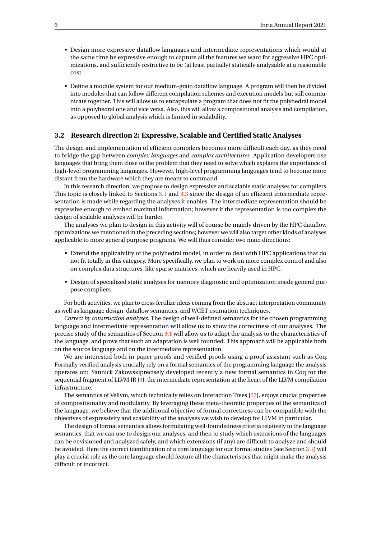- Design more expressive dataflow languages and intermediate representations which would at the same time be expressive enough to capture all the features we want for aggressive HPC optimizations, and sufficiently restrictive to be (at least partially) statically analyzable at a reasonable cost.
- Define a module system for our medium-grain dataflow language. A program will then be divided into modules that can follow different compilation schemes and execution models but still communicate together. This will allow us to encapsulate a program that does not fit the polyhedral model into a polyhedral one and vice versa. Also, this will allow a compositional analysis and compilation, as opposed to global analysis which is limited in scalability.

# <span id="page-8-0"></span>**3.2 Research direction 2: Expressive, Scalable and Certified Static Analyses**

The design and implementation of efficient compilers becomes more difficult each day, as they need to bridge the gap between *complex languages* and *complex architectures*. Application developers use languages that bring them close to the problem that they need to solve which explains the importance of high-level programming languages. However, high-level programming languages tend to become more distant from the hardware which they are meant to command.

In this research direction, we propose to design expressive and scalable static analyses for compilers. This topic is closely linked to Sections [3.1](#page-6-1) and [3.3](#page-9-2) since the design of an efficient intermediate representation is made while regarding the analyses it enables. The intermediate representation should be expressive enough to embed maximal information; however if the representation is too complex the design of scalable analyses will be harder.

The analyses we plan to design in this activity will of course be mainly driven by the HPC dataflow optimizations we mentioned in the preceding sections; however we will also target other kinds of analyses applicable to more general purpose programs. We will thus consider two main directions:

- Extend the applicability of the polyhedral model, in order to deal with HPC applications that do not fit totally in this category. More specifically, we plan to work on more complex control and also on complex data structures, like sparse matrices, which are heavily used in HPC.
- Design of specialized static analyses for memory diagnostic and optimization inside general purpose compilers.

For both activities, we plan to cross fertilize ideas coming from the abstract interpretation community as well as language design, dataflow semantics, and WCET estimation techniques.

*Correct by construction analyses.* The design of well-defined semantics for the chosen programming language and intermediate representation will allow us to show the correctness of our analyses. The precise study of the semantics of Section [3.1](#page-6-1) will allow us to adapt the analysis to the characteristics of the language, and prove that such an adaptation is well founded. This approach will be applicable both on the source language and on the intermediate representation.

We are interested both in paper proofs and verified proofs using a proof assistant such as Coq. Formally verified analysis crucially rely on a formal semantics of the programming language the analysis operates on: Yannick Zakowskiprecisely developed recently a new formal semantics in Coq for the sequential fragment of LLVM IR  $[9]$ , the intermediate representation at the heart of the LLVM compilation infrastructure.

The semantics of Vellvm, which technically relies on Interaction Trees [\[67\]](#page-38-2), enjoys crucial properties of compositionality and modularity. By leveraging these meta-theoretic properties of the semantics of the language, we believe that the additional objective of formal correctness can be compatible with the objectives of expressivity and scalability of the analyses we wish to develop for LLVM in particular.

The design of formal semantics allows formulating well-foundedness criteria relatively to the language semantics, that we can use to design our analyses, and then to study which extensions of the languages can be envisioned and analyzed safely, and which extensions (if any) are difficult to analyze and should be avoided. Here the correct identification of a core language for our formal studies (see Section [3.1\)](#page-6-1) will play a crucial role as the core language should feature all the characteristics that might make the analysis difficult or incorrect.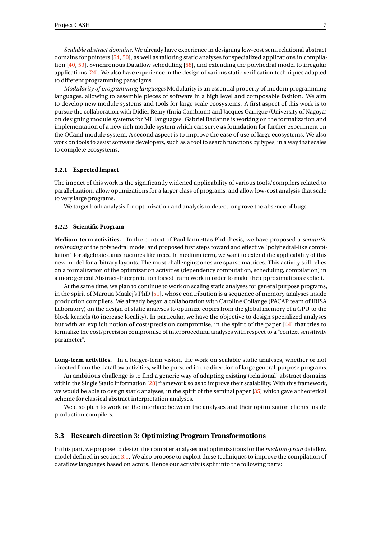*Scalable abstract domains.* We already have experience in designing low-cost semi relational abstract domains for pointers [\[54,](#page-37-3) [50\]](#page-37-4), as well as tailoring static analyses for specialized applications in compila-tion [\[40,](#page-37-5) [59\]](#page-38-3), Synchronous Dataflow scheduling [\[58\]](#page-38-4), and extending the polyhedral model to irregular applications [\[24\]](#page-36-4). We also have experience in the design of various static verification techniques adapted to different programming paradigms.

*Modularity of programming languages* Modularity is an essential property of modern programming languages, allowing to assemble pieces of software in a high level and composable fashion. We aim to develop new module systems and tools for large scale ecosystems. A first aspect of this work is to pursue the collaboration with Didier Remy (Inria Cambium) and Jacques Garrigue (University of Nagoya) on designing module systems for ML languages. Gabriel Radanne is working on the formalization and implementation of a new rich module system which can serve as foundation for further experiment on the OCaml module system. A second aspect is to improve the ease of use of large ecosystems. We also work on tools to assist software developers, such as a tool to search functions by types, in a way that scales to complete ecosystems.

#### <span id="page-9-0"></span>**3.2.1 Expected impact**

The impact of this work is the significantly widened applicability of various tools/compilers related to parallelization: allow optimizations for a larger class of programs, and allow low-cost analysis that scale to very large programs.

We target both analysis for optimization and analysis to detect, or prove the absence of bugs.

#### <span id="page-9-1"></span>**3.2.2 Scientific Program**

**Medium-term activities.** In the context of Paul Iannetta's Phd thesis, we have proposed a *semantic rephrasing* of the polyhedral model and proposed first steps toward and effective "polyhedral-like compilation" for algebraic datastructures like trees. In medium term, we want to extend the applicability of this new model for arbitrary layouts. The must challenging ones are sparse matrices. This activity still relies on a formalization of the optimization activities (dependency computation, scheduling, compilation) in a more general Abstract-Interpretation based framework in order to make the approximations explicit.

At the same time, we plan to continue to work on scaling static analyses for general purpose programs, in the spirit of Maroua Maalej's PhD [\[51\]](#page-37-6), whose contribution is a sequence of memory analyses inside production compilers. We already began a collaboration with Caroline Collange (PACAP team of IRISA Laboratory) on the design of static analyses to optimize copies from the global memory of a GPU to the block kernels (to increase locality). In particular, we have the objective to design specialized analyses but with an explicit notion of cost/precision compromise, in the spirit of the paper [\[44\]](#page-37-7) that tries to formalize the cost/precision compromise of interprocedural analyses with respect to a "context sensitivity parameter".

**Long-term activities.** In a longer-term vision, the work on scalable static analyses, whether or not directed from the dataflow activities, will be pursued in the direction of large general-purpose programs.

An ambitious challenge is to find a generic way of adapting existing (relational) abstract domains within the Single Static Information [\[28\]](#page-36-5) framework so as to improve their scalability. With this framework, we would be able to design static analyses, in the spirit of the seminal paper [\[35\]](#page-36-6) which gave a theoretical scheme for classical abstract interpretation analyses.

We also plan to work on the interface between the analyses and their optimization clients inside production compilers.

## <span id="page-9-2"></span>**3.3 Research direction 3: Optimizing Program Transformations**

In this part, we propose to design the compiler analyses and optimizations for the *medium-grain* dataflow model defined in section [3.1.](#page-6-1) We also propose to exploit these techniques to improve the compilation of dataflow languages based on actors. Hence our activity is split into the following parts: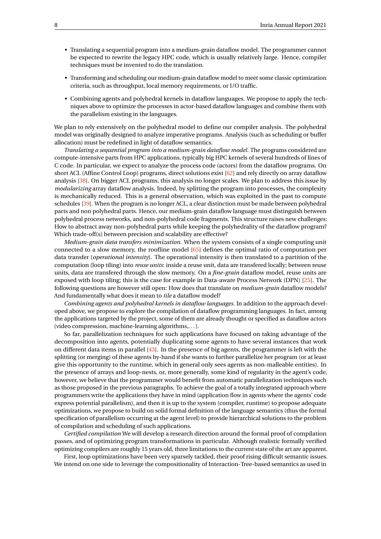- Translating a sequential program into a medium-grain dataflow model. The programmer cannot be expected to rewrite the legacy HPC code, which is usually relatively large. Hence, compiler techniques must be invented to do the translation.
- Transforming and scheduling our medium-grain dataflow model to meet some classic optimization criteria, such as throughput, local memory requirements, or I/O traffic.
- Combining agents and polyhedral kernels in dataflow languages. We propose to apply the techniques above to optimize the processes in actor-based dataflow languages and combine them with the parallelism existing in the languages.

We plan to rely extensively on the polyhedral model to define our compiler analysis. The polyhedral model was originally designed to analyze imperative programs. Analysis (such as scheduling or buffer allocation) must be redefined in light of dataflow semantics.

*Translating a sequential program into a medium-grain dataflow model.* The programs considered are compute-intensive parts from HPC applications, typically big HPC kernels of several hundreds of lines of C code. In particular, we expect to analyze the process code (actors) from the dataflow programs. On short ACL (Affine Control Loop) programs, direct solutions exist [\[62\]](#page-38-5) and rely directly on array dataflow analysis [\[38\]](#page-36-7). On bigger ACL programs, this analysis no longer scales. We plan to address this issue by *modularizing* array dataflow analysis. Indeed, by splitting the program into processes, the complexity is mechanically reduced. This is a general observation, which was exploited in the past to compute schedules [\[39\]](#page-37-8). When the program is no longer ACL, a clear distinction must be made between polyhedral parts and non polyhedral parts. Hence, our medium-grain dataflow language must distinguish between polyhedral process networks, and non-polyhedral code fragments. This structure raises new challenges: How to abstract away non-polyhedral parts while keeping the polyhedrality of the dataflow program? Which trade-off(s) between precision and scalability are effective?

*Medium-grain data transfers minimization.* When the system consists of a single computing unit connected to a slow memory, the roofline model [\[65\]](#page-38-6) defines the optimal ratio of computation per data transfer (*operational intensity*). The operational intensity is then translated to a partition of the computation (loop tiling) into *reuse units*: inside a reuse unit, data are transfered locally; between reuse units, data are transfered through the slow memory. On a *fine-grain* dataflow model, reuse units are exposed with loop tiling; this is the case for example in Data-aware Process Network (DPN) [\[25\]](#page-36-8). The following questions are however still open: How does that translate on *medium-grain* dataflow models? And fundamentally what does it mean to *tile* a dataflow model?

*Combining agents and polyhedral kernels in dataflow languages.* In addition to the approach developed above, we propose to explore the compilation of dataflow programming languages. In fact, among the applications targeted by the project, some of them are already thought or specified as dataflow actors (video compression, machine-learning algorithms,. . . ).

So far, parallelization techniques for such applications have focused on taking advantage of the decomposition into agents, potentially duplicating some agents to have several instances that work on different data items in parallel [\[43\]](#page-37-9). In the presence of big agents, the programmer is left with the splitting (or merging) of these agents by-hand if she wants to further parallelize her program (or at least give this opportunity to the runtime, which in general only sees agents as non-malleable entities). In the presence of arrays and loop-nests, or, more generally, some kind of regularity in the agent's code, however, we believe that the programmer would benefit from automatic parallelization techniques such as those proposed in the previous paragraphs. To achieve the goal of a totally integrated approach where programmers write the applications they have in mind (application flow in agents where the agents' code express potential parallelism), and then it is up to the system (compiler, runtime) to propose adequate optimizations, we propose to build on solid formal definition of the language semantics (thus the formal specification of parallelism occurring at the agent level) to provide hierarchical solutions to the problem of compilation and scheduling of such applications.

*Certified compilation* We will develop a research direction around the formal proof of compilation passes, and of optimizing program transformations in particular. Although realistic formally verified optimizing compilers are roughly 15 years old, three limitations to the current state of the art are apparent.

First, loop optimizations have been very sparsely tackled, their proof rising difficult semantic issues. We intend on one side to leverage the compositionality of Interaction-Tree-based semantics as used in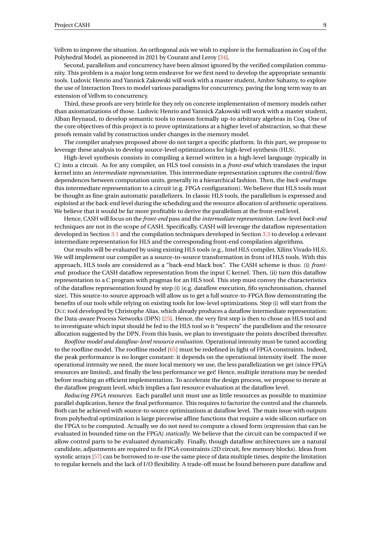Vellvm to improve the situation. An orthogonal axis we wish to explore is the formalization in Coq of the Polyhedral Model, as pioneered in 2021 by Courant and Leroy [\[34\]](#page-36-9).

Second, parallelism and concurrency have been almost ignored by the verified compilation community. This problem is a major long term endeavor for we first need to develop the appropriate semantic tools. Ludovic Henrio and Yannick Zakowski will work with a master student, Ambre Suhamy, to explore the use of Interaction Trees to model various paradigms for concurrency, paving the long term way to an extension of Vellvm to concurrency.

Third, these proofs are very brittle for they rely on concrete implementation of memory models rather than axiomatizations of those. Ludovic Henrio and Yannick Zakowski will work with a master student, Alban Reynaud, to develop semantic tools to reason formally up-to arbitrary algebras in Coq. One of the core objectives of this project is to prove optimizations at a higher level of abstraction, so that these proofs remain valid by construction under changes in the memory model.

The compiler analyses proposed above do not target a specific platform. In this part, we propose to leverage these analysis to develop source-level optimizations for high-level synthesis (HLS).

High-level synthesis consists in compiling a kernel written in a high-level language (typically in C) into a circuit. As for any compiler, an HLS tool consists in a *front-end* which translates the input kernel into an *intermediate representation*. This intermediate representation captures the control/flow dependences between computation units, generally in a hierarchical fashion. Then, the *back-end* maps this intermediate representation to a circuit (e.g. FPGA configuration). We believe that HLS tools must be thought as fine-grain automatic parallelizers. In classic HLS tools, the parallelism is expressed and exploited at the back-end level during the scheduling and the resource allocation of arithmetic operations. We believe that it would be far more profitable to derive the parallelism at the front-end level.

Hence, CASH will focus on the *front-end* pass and the *intermediate representation*. Low-level *back-end* techniques are not in the scope of CASH. Specifically, CASH will leverage the dataflow representation developed in Section [3.1](#page-6-1) and the compilation techniques developed in Section [3.3](#page-9-2) to develop a relevant intermediate representation for HLS and the corresponding front-end compilation algorithms.

Our results will be evaluated by using existing HLS tools (e.g., Intel HLS compiler, Xilinx Vivado HLS). We will implement our compiler as a source-to-source transformation in front of HLS tools. With this approach, HLS tools are considered as a "back-end black box". The CASH scheme is thus: (i) *frontend*: produce the CASH dataflow representation from the input C kernel. Then, (ii) turn this dataflow representation to a C program with pragmas for an HLS tool. This step must convey the characteristics of the dataflow representation found by step (i) (e.g. dataflow execution, fifo synchronisation, channel size). This source-to-source approach will allow us to get a full source-to-FPGA flow demonstrating the benefits of our tools while relying on existing tools for low-level optimizations. Step (i) will start from the DCC tool developed by Christophe Alias, which already produces a dataflow intermediate representation: the Data-aware Process Networks (DPN) [\[25\]](#page-36-8). Hence, the very first step is then to chose an HLS tool and to investiguate which input should be fed to the HLS tool so it "respects" the parallelism and the resource allocation suggested by the DPN. From this basis, we plan to investiguate the points described thereafter.

*Roofline model and dataflow-level resource evaluation*. Operational intensity must be tuned according to the roofline model. The roofline model [\[65\]](#page-38-6) must be redefined in light of FPGA constraints. Indeed, the peak performance is no longer constant: it depends on the operational intensity itself. The more operational intensity we need, the more local memory we use, the less parallelization we get (since FPGA resources are limited), and finally the less performance we get! Hence, multiple iterations may be needed before reaching an efficient implementation. To accelerate the design process, we propose to iterate at the dataflow program level, which implies a fast resource evaluation at the dataflow level.

*Reducing FPGA resources.* Each parallel unit must use as little resources as possible to maximize parallel duplication, hence the final performance. This requires to factorize the control and the channels. Both can be achieved with source-to-source optimizations at dataflow level. The main issue with outputs from polyhedral optimization is large piecewise affine functions that require a wide silicon surface on the FPGA to be computed. Actually we do not need to compute a closed form (expression that can be evaluated in bounded time on the FPGA) *statically*. We believe that the circuit can be compacted if we allow control parts to be evaluated dynamically. Finally, though dataflow architectures are a natural candidate, adjustments are required to fit FPGA constraints (2D circuit, few memory blocks). Ideas from systolic arrays [\[57\]](#page-37-10) can be borrowed to re-use the same piece of data multiple times, despite the limitation to regular kernels and the lack of I/O flexibility. A trade-off must be found between pure dataflow and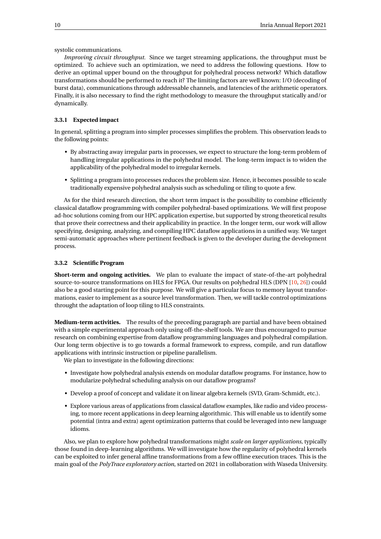systolic communications.

*Improving circuit throughput.* Since we target streaming applications, the throughput must be optimized. To achieve such an optimization, we need to address the following questions. How to derive an optimal upper bound on the throughput for polyhedral process network? Which dataflow transformations should be performed to reach it? The limiting factors are well known: I/O (decoding of burst data), communications through addressable channels, and latencies of the arithmetic operators. Finally, it is also necessary to find the right methodology to measure the throughput statically and/or dynamically.

# <span id="page-12-0"></span>**3.3.1 Expected impact**

In general, splitting a program into simpler processes simplifies the problem. This observation leads to the following points:

- By abstracting away irregular parts in processes, we expect to structure the long-term problem of handling irregular applications in the polyhedral model. The long-term impact is to widen the applicability of the polyhedral model to irregular kernels.
- Splitting a program into processes reduces the problem size. Hence, it becomes possible to scale traditionally expensive polyhedral analysis such as scheduling or tiling to quote a few.

As for the third research direction, the short term impact is the possibility to combine efficiently classical dataflow programming with compiler polyhedral-based optimizations. We will first propose ad-hoc solutions coming from our HPC application expertise, but supported by strong theoretical results that prove their correctness and their applicability in practice. In the longer term, our work will allow specifying, designing, analyzing, and compiling HPC dataflow applications in a unified way. We target semi-automatic approaches where pertinent feedback is given to the developer during the development process.

#### <span id="page-12-1"></span>**3.3.2 Scientific Program**

**Short-term and ongoing activities.** We plan to evaluate the impact of state-of-the-art polyhedral source-to-source transformations on HLS for FPGA. Our results on polyhedral HLS (DPN [\[10,](#page-34-4) [26\]](#page-36-10)) could also be a good starting point for this purpose. We will give a particular focus to memory layout transformations, easier to implement as a source level transformation. Then, we will tackle control optimizations throught the adaptation of loop tiling to HLS constraints.

**Medium-term activities.** The results of the preceding paragraph are partial and have been obtained with a simple experimental approach only using off-the-shelf tools. We are thus encouraged to pursue research on combining expertise from dataflow programming languages and polyhedral compilation. Our long term objective is to go towards a formal framework to express, compile, and run dataflow applications with intrinsic instruction or pipeline parallelism.

We plan to investigate in the following directions:

- Investigate how polyhedral analysis extends on modular dataflow programs. For instance, how to modularize polyhedral scheduling analysis on our dataflow programs?
- Develop a proof of concept and validate it on linear algebra kernels (SVD, Gram-Schmidt, etc.).
- Explore various areas of applications from classical dataflow examples, like radio and video processing, to more recent applications in deep learning algorithmic. This will enable us to identify some potential (intra and extra) agent optimization patterns that could be leveraged into new language idioms.

Also, we plan to explore how polyhedral transformations might *scale on larger applications*, typically those found in deep-learning algorithms. We will investigate how the regularity of polyhedral kernels can be exploited to infer general affine transformations from a few offline execution traces. This is the main goal of the *PolyTrace exploratory action*, started on 2021 in collaboration with Waseda University.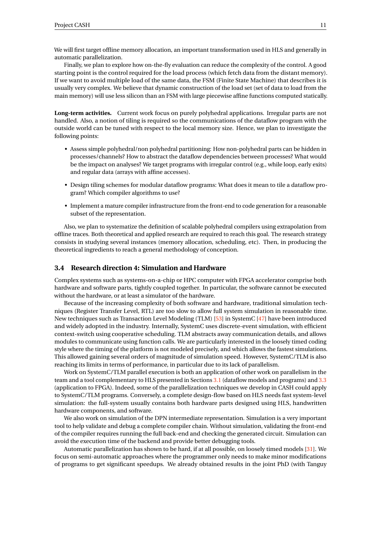We will first target offline memory allocation, an important transformation used in HLS and generally in automatic parallelization.

Finally, we plan to explore how on-the-fly evaluation can reduce the complexity of the control. A good starting point is the control required for the load process (which fetch data from the distant memory). If we want to avoid multiple load of the same data, the FSM (Finite State Machine) that describes it is usually very complex. We believe that dynamic construction of the load set (set of data to load from the main memory) will use less silicon than an FSM with large piecewise affine functions computed statically.

**Long-term activities.** Current work focus on purely polyhedral applications. Irregular parts are not handled. Also, a notion of tiling is required so the communications of the dataflow program with the outside world can be tuned with respect to the local memory size. Hence, we plan to investigate the following points:

- Assess simple polyhedral/non polyhedral partitioning: How non-polyhedral parts can be hidden in processes/channels? How to abstract the dataflow dependencies between processes? What would be the impact on analyses? We target programs with irregular control (e.g., while loop, early exits) and regular data (arrays with affine accesses).
- Design tiling schemes for modular dataflow programs: What does it mean to tile a dataflow program? Which compiler algorithms to use?
- Implement a mature compiler infrastructure from the front-end to code generation for a reasonable subset of the representation.

Also, we plan to systematize the definition of scalable polyhedral compilers using extrapolation from offline traces. Both theoretical and applied research are required to reach this goal. The research strategy consists in studying several instances (memory allocation, scheduling, etc). Then, in producing the theoretical ingredients to reach a general methodology of conception.

# <span id="page-13-0"></span>**3.4 Research direction 4: Simulation and Hardware**

Complex systems such as systems-on-a-chip or HPC computer with FPGA accelerator comprise both hardware and software parts, tightly coupled together. In particular, the software cannot be executed without the hardware, or at least a simulator of the hardware.

Because of the increasing complexity of both software and hardware, traditional simulation techniques (Register Transfer Level, RTL) are too slow to allow full system simulation in reasonable time. New techniques such as Transaction Level Modeling (TLM) [\[53\]](#page-37-11) in SystemC [\[47\]](#page-37-12) have been introduced and widely adopted in the industry. Internally, SystemC uses discrete-event simulation, with efficient context-switch using cooperative scheduling. TLM abstracts away communication details, and allows modules to communicate using function calls. We are particularly interested in the loosely timed coding style where the timing of the platform is not modeled precisely, and which allows the fastest simulations. This allowed gaining several orders of magnitude of simulation speed. However, SystemC/TLM is also reaching its limits in terms of performance, in particular due to its lack of parallelism.

Work on SystemC/TLM parallel execution is both an application of other work on parallelism in the team and a tool complementary to HLS presented in Sections [3.1](#page-6-1) (dataflow models and programs) and [3.3](#page-9-2) (application to FPGA). Indeed, some of the parallelization techniques we develop in CASH could apply to SystemC/TLM programs. Conversely, a complete design-flow based on HLS needs fast system-level simulation: the full-system usually contains both hardware parts designed using HLS, handwritten hardware components, and software.

We also work on simulation of the DPN intermediate representation. Simulation is a very important tool to help validate and debug a complete compiler chain. Without simulation, validating the front-end of the compiler requires running the full back-end and checking the generated circuit. Simulation can avoid the execution time of the backend and provide better debugging tools.

Automatic parallelization has shown to be hard, if at all possible, on loosely timed models [\[31\]](#page-36-11). We focus on semi-automatic approaches where the programmer only needs to make minor modifications of programs to get significant speedups. We already obtained results in the joint PhD (with Tanguy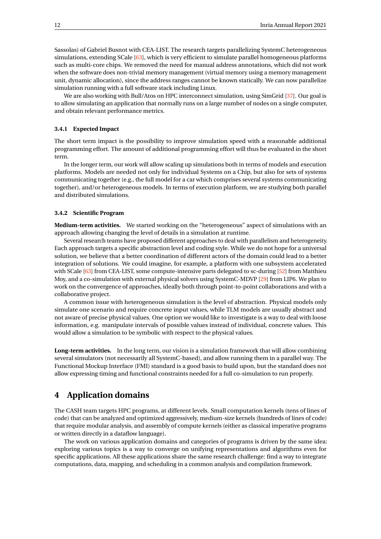Sassolas) of Gabriel Busnot with CEA-LIST. The research targets parallelizing SystemC heterogeneous simulations, extending SCale [\[63\]](#page-38-7), which is very efficient to simulate parallel homogeneous platforms such as multi-core chips. We removed the need for manual address annotations, which did not work when the software does non-trivial memory management (virtual memory using a memory management unit, dynamic allocation), since the address ranges cannot be known statically. We can now parallelize simulation running with a full software stack including Linux.

We are also working with Bull/Atos on HPC interconnect simulation, using SimGrid [\[37\]](#page-36-12). Our goal is to allow simulating an application that normally runs on a large number of nodes on a single computer, and obtain relevant performance metrics.

### <span id="page-14-0"></span>**3.4.1 Expected Impact**

The short term impact is the possibility to improve simulation speed with a reasonable additional programming effort. The amount of additional programming effort will thus be evaluated in the short term.

In the longer term, our work will allow scaling up simulations both in terms of models and execution platforms. Models are needed not only for individual Systems on a Chip, but also for sets of systems communicating together (e.g., the full model for a car which comprises several systems communicating together), and/or heterogeneous models. In terms of execution platform, we are studying both parallel and distributed simulations.

# <span id="page-14-1"></span>**3.4.2 Scientific Program**

**Medium-term activities.** We started working on the "heterogeneous" aspect of simulations with an approach allowing changing the level of details in a simulation at runtime.

Several research teams have proposed different approaches to deal with parallelism and heterogeneity. Each approach targets a specific abstraction level and coding style. While we do not hope for a universal solution, we believe that a better coordination of different actors of the domain could lead to a better integration of solutions. We could imagine, for example, a platform with one subsystem accelerated with SCale [\[63\]](#page-38-7) from CEA-LIST, some compute-intensive parts delegated to sc-during [\[52\]](#page-37-13) from Matthieu Moy, and a co-simulation with external physical solvers using SystemC-MDVP [\[29\]](#page-36-13) from LIP6. We plan to work on the convergence of approaches, ideally both through point-to-point collaborations and with a collaborative project.

A common issue with heterogeneous simulation is the level of abstraction. Physical models only simulate one scenario and require concrete input values, while TLM models are usually abstract and not aware of precise physical values. One option we would like to investigate is a way to deal with loose information, e.g. manipulate intervals of possible values instead of individual, concrete values. This would allow a simulation to be symbolic with respect to the physical values.

**Long-term activities.** In the long term, our vision is a simulation framework that will allow combining several simulators (not necessarily all SystemC-based), and allow running them in a parallel way. The Functional Mockup Interface (FMI) standard is a good basis to build upon, but the standard does not allow expressing timing and functional constraints needed for a full co-simulation to run properly.

# <span id="page-14-2"></span>**4 Application domains**

The CASH team targets HPC programs, at different levels. Small computation kernels (tens of lines of code) that can be analyzed and optimized aggressively, medium-size kernels (hundreds of lines of code) that require modular analysis, and assembly of compute kernels (either as classical imperative programs or written directly in a dataflow language).

The work on various application domains and categories of programs is driven by the same idea: exploring various topics is a way to converge on unifying representations and algorithms even for specific applications. All these applications share the same research challenge: find a way to integrate computations, data, mapping, and scheduling in a common analysis and compilation framework.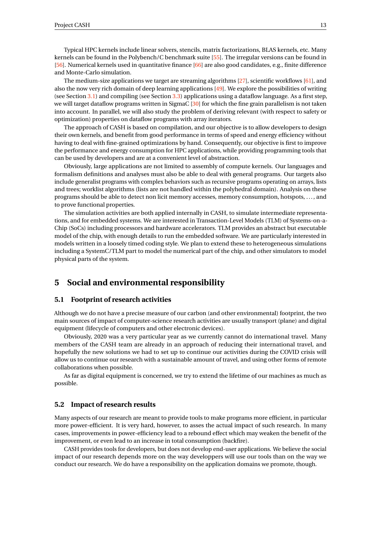Typical HPC kernels include linear solvers, stencils, matrix factorizations, BLAS kernels, etc. Many kernels can be found in the Polybench/C benchmark suite [\[55\]](#page-37-14). The irregular versions can be found in [\[56\]](#page-37-15). Numerical kernels used in quantitative finance  $[66]$  are also good candidates, e.g., finite difference and Monte-Carlo simulation.

The medium-size applications we target are streaming algorithms [\[27\]](#page-36-1), scientific workflows [\[61\]](#page-38-9), and also the now very rich domain of deep learning applications [\[49\]](#page-37-16). We explore the possibilities of writing (see Section [3.1\)](#page-6-1) and compiling (see Section [3.3\)](#page-9-2) applications using a dataflow language. As a first step, we will target dataflow programs written in SigmaC [\[30\]](#page-36-14) for which the fine grain parallelism is not taken into account. In parallel, we will also study the problem of deriving relevant (with respect to safety or optimization) properties on dataflow programs with array iterators.

The approach of CASH is based on compilation, and our objective is to allow developers to design their own kernels, and benefit from good performance in terms of speed and energy efficiency without having to deal with fine-grained optimizations by hand. Consequently, our objective is first to improve the performance and energy consumption for HPC applications, while providing programming tools that can be used by developers and are at a convenient level of abstraction.

Obviously, large applications are not limited to assembly of compute kernels. Our languages and formalism definitions and analyses must also be able to deal with general programs. Our targets also include generalist programs with complex behaviors such as recursive programs operating on arrays, lists and trees; worklist algorithms (lists are not handled within the polyhedral domain). Analysis on these programs should be able to detect non licit memory accesses, memory consumption, hotspots, . . . , and to prove functional properties.

The simulation activities are both applied internally in CASH, to simulate intermediate representations, and for embedded systems. We are interested in Transaction-Level Models (TLM) of Systems-on-a-Chip (SoCs) including processors and hardware accelerators. TLM provides an abstract but executable model of the chip, with enough details to run the embedded software. We are particularly interested in models written in a loosely timed coding style. We plan to extend these to heterogeneous simulations including a SystemC/TLM part to model the numerical part of the chip, and other simulators to model physical parts of the system.

# <span id="page-15-0"></span>**5 Social and environmental responsibility**

# <span id="page-15-1"></span>**5.1 Footprint of research activities**

Although we do not have a precise measure of our carbon (and other environmental) footprint, the two main sources of impact of computer-science research activities are usually transport (plane) and digital equipment (lifecycle of computers and other electronic devices).

Obviously, 2020 was a very particular year as we currently cannot do international travel. Many members of the CASH team are already in an approach of reducing their international travel, and hopefully the new solutions we had to set up to continue our activities during the COVID crisis will allow us to continue our research with a sustainable amount of travel, and using other forms of remote collaborations when possible.

As far as digital equipment is concerned, we try to extend the lifetime of our machines as much as possible.

## <span id="page-15-2"></span>**5.2 Impact of research results**

Many aspects of our research are meant to provide tools to make programs more efficient, in particular more power-efficient. It is very hard, however, to asses the actual impact of such research. In many cases, improvements in power-efficiency lead to a rebound effect which may weaken the benefit of the improvement, or even lead to an increase in total consumption (backfire).

CASH provides tools for developers, but does not develop end-user applications. We believe the social impact of our research depends more on the way developpers will use our tools than on the way we conduct our research. We do have a responsibility on the application domains we promote, though.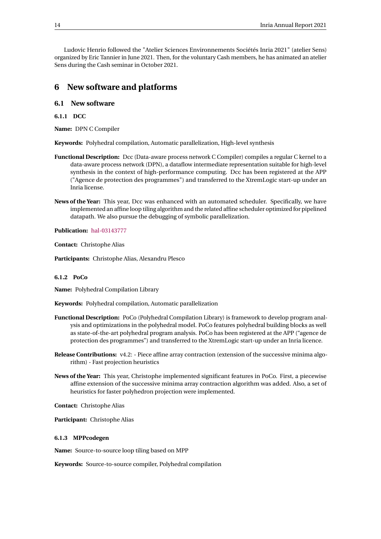Ludovic Henrio followed the "Atelier Sciences Environnements Sociétés Inria 2021" (atelier Sens) organized by Eric Tannier in June 2021. Then, for the voluntary Cash members, he has animated an atelier Sens during the Cash seminar in October 2021.

# <span id="page-16-0"></span>**6 New software and platforms**

# <span id="page-16-1"></span>**6.1 New software**

<span id="page-16-2"></span>**6.1.1 DCC**

**Name:** DPN C Compiler

**Keywords:** Polyhedral compilation, Automatic parallelization, High-level synthesis

- **Functional Description:** Dcc (Data-aware process network C Compiler) compiles a regular C kernel to a data-aware process network (DPN), a dataflow intermediate representation suitable for high-level synthesis in the context of high-performance computing. Dcc has been registered at the APP ("Agence de protection des programmes") and transferred to the XtremLogic start-up under an Inria license.
- **News of the Year:** This year, Dcc was enhanced with an automated scheduler. Specifically, we have implemented an affine loop tiling algorithm and the related affine scheduler optimized for pipelined datapath. We also pursue the debugging of symbolic parallelization.

**Publication:** [hal-03143777](https://hal.inria.fr/hal-03143777)

**Contact:** Christophe Alias

**Participants:** Christophe Alias, Alexandru Plesco

# <span id="page-16-3"></span>**6.1.2 PoCo**

**Name:** Polyhedral Compilation Library

**Keywords:** Polyhedral compilation, Automatic parallelization

- **Functional Description:** PoCo (Polyhedral Compilation Library) is framework to develop program analysis and optimizations in the polyhedral model. PoCo features polyhedral building blocks as well as state-of-the-art polyhedral program analysis. PoCo has been registered at the APP ("agence de protection des programmes") and transferred to the XtremLogic start-up under an Inria licence.
- **Release Contributions:** v4.2: Piece affine array contraction (extension of the successive minima algorithm) - Fast projection heuristics
- **News of the Year:** This year, Christophe implemented significant features in PoCo. First, a piecewise affine extension of the successive minima array contraction algorithm was added. Also, a set of heuristics for faster polyhedron projection were implemented.

**Contact:** Christophe Alias

**Participant:** Christophe Alias

#### <span id="page-16-4"></span>**6.1.3 MPPcodegen**

**Name:** Source-to-source loop tiling based on MPP

**Keywords:** Source-to-source compiler, Polyhedral compilation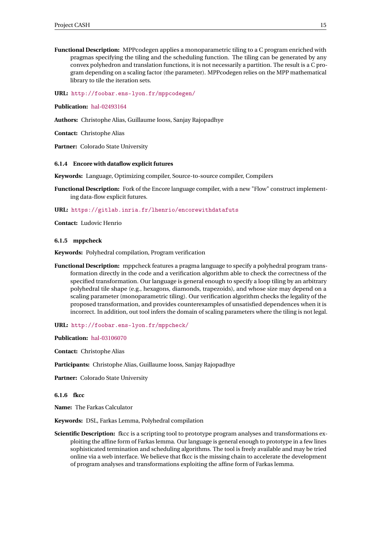**Functional Description:** MPPcodegen applies a monoparametric tiling to a C program enriched with pragmas specifying the tiling and the scheduling function. The tiling can be generated by any convex polyhedron and translation functions, it is not necessarily a partition. The result is a C program depending on a scaling factor (the parameter). MPPcodegen relies on the MPP mathematical library to tile the iteration sets.

**URL:** <http://foobar.ens-lyon.fr/mppcodegen/>

#### **Publication:** [hal-02493164](https://hal.inria.fr/hal-02493164)

**Authors:** Christophe Alias, Guillaume Iooss, Sanjay Rajopadhye

**Contact:** Christophe Alias

**Partner:** Colorado State University

#### <span id="page-17-0"></span>**6.1.4 Encore with dataflow explicit futures**

**Keywords:** Language, Optimizing compiler, Source-to-source compiler, Compilers

**Functional Description:** Fork of the Encore language compiler, with a new "Flow" construct implementing data-flow explicit futures.

#### **URL:** <https://gitlab.inria.fr/lhenrio/encorewithdatafuts>

**Contact:** Ludovic Henrio

#### <span id="page-17-1"></span>**6.1.5 mppcheck**

**Keywords:** Polyhedral compilation, Program verification

- **Functional Description:** mppcheck features a pragma language to specify a polyhedral program transformation directly in the code and a verification algorithm able to check the correctness of the specified transformation. Our language is general enough to specify a loop tiling by an arbitrary polyhedral tile shape (e.g., hexagons, diamonds, trapezoids), and whose size may depend on a scaling parameter (monoparametric tiling). Our verification algorithm checks the legality of the proposed transformation, and provides counterexamples of unsatisfied dependences when it is incorrect. In addition, out tool infers the domain of scaling parameters where the tiling is not legal.
- **URL:** <http://foobar.ens-lyon.fr/mppcheck/>

**Publication:** [hal-03106070](https://hal.inria.fr/hal-03106070)

**Contact:** Christophe Alias

**Participants:** Christophe Alias, Guillaume Iooss, Sanjay Rajopadhye

**Partner:** Colorado State University

#### <span id="page-17-2"></span>**6.1.6 fkcc**

**Name:** The Farkas Calculator

**Keywords:** DSL, Farkas Lemma, Polyhedral compilation

**Scientific Description:** fkcc is a scripting tool to prototype program analyses and transformations exploiting the affine form of Farkas lemma. Our language is general enough to prototype in a few lines sophisticated termination and scheduling algorithms. The tool is freely available and may be tried online via a web interface. We believe that fkcc is the missing chain to accelerate the development of program analyses and transformations exploiting the affine form of Farkas lemma.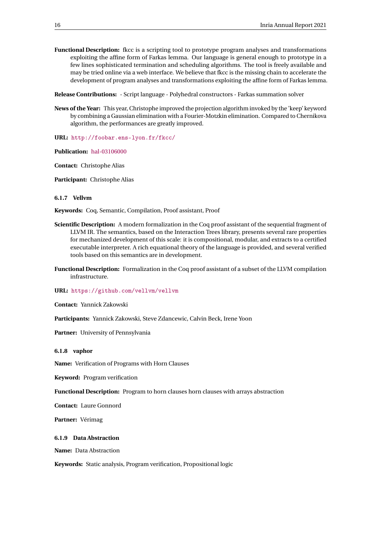**Functional Description:** fkcc is a scripting tool to prototype program analyses and transformations exploiting the affine form of Farkas lemma. Our language is general enough to prototype in a few lines sophisticated termination and scheduling algorithms. The tool is freely available and may be tried online via a web interface. We believe that fkcc is the missing chain to accelerate the development of program analyses and transformations exploiting the affine form of Farkas lemma.

**Release Contributions:** - Script language - Polyhedral constructors - Farkas summation solver

**News of the Year:** This year, Christophe improved the projection algorithm invoked by the 'keep' keyword by combining a Gaussian elimination with a Fourier-Motzkin elimination. Compared to Chernikova algorithm, the performances are greatly improved.

**URL:** <http://foobar.ens-lyon.fr/fkcc/>

**Publication:** [hal-03106000](https://hal.inria.fr/hal-03106000)

**Contact:** Christophe Alias

**Participant:** Christophe Alias

<span id="page-18-0"></span>**6.1.7 Vellvm**

**Keywords:** Coq, Semantic, Compilation, Proof assistant, Proof

- **Scientific Description:** A modern formalization in the Coq proof assistant of the sequential fragment of LLVM IR. The semantics, based on the Interaction Trees library, presents several rare properties for mechanized development of this scale: it is compositional, modular, and extracts to a certified executable interpreter. A rich equational theory of the language is provided, and several verified tools based on this semantics are in development.
- **Functional Description:** Formalization in the Coq proof assistant of a subset of the LLVM compilation infrastructure.

**URL:** <https://github.com/vellvm/vellvm>

**Contact:** Yannick Zakowski

**Participants:** Yannick Zakowski, Steve Zdancewic, Calvin Beck, Irene Yoon

Partner: University of Pennsylvania

<span id="page-18-1"></span>**6.1.8 vaphor**

**Name:** Verification of Programs with Horn Clauses

**Keyword:** Program verification

**Functional Description:** Program to horn clauses horn clauses with arrays abstraction

**Contact:** Laure Gonnord

**Partner:** Vérimag

<span id="page-18-2"></span>**6.1.9 Data Abstraction**

**Name:** Data Abstraction

**Keywords:** Static analysis, Program verification, Propositional logic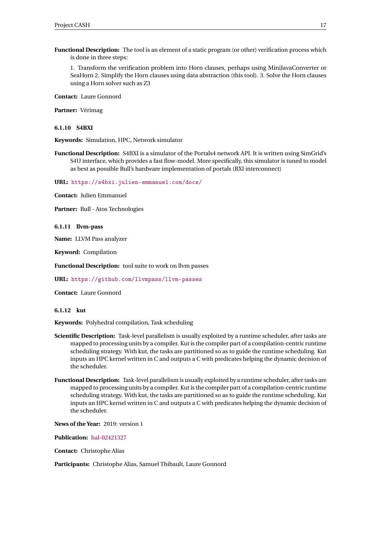**Functional Description:** The tool is an element of a static program (or other) verification process which is done in three steps:

1. Transform the verification problem into Horn clauses, perhaps using MiniJavaConverter or SeaHorn 2. Simplify the Horn clauses using data abstraction (this tool). 3. Solve the Horn clauses using a Horn solver such as Z3

**Contact:** Laure Gonnord

**Partner:** Vérimag

#### <span id="page-19-0"></span>**6.1.10 S4BXI**

**Keywords:** Simulation, HPC, Network simulator

**Functional Description:** S4BXI is a simulator of the Portals4 network API. It is written using SimGrid's S4U interface, which provides a fast flow-model. More specifically, this simulator is tuned to model as best as possible Bull's hardware implementation of portals (BXI interconnect)

**URL:** <https://s4bxi.julien-emmanuel.com/docs/>

**Contact:** Julien Emmanuel

**Partner:** Bull - Atos Technologies

<span id="page-19-1"></span>**6.1.11 llvm-pass**

**Name:** LLVM Pass analyzer

**Keyword:** Compilation

**Functional Description:** tool suite to work on llvm passes

**URL:** <https://github.com/llvmpass/llvm-passes>

**Contact:** Laure Gonnord

<span id="page-19-2"></span>**6.1.12 kut**

**Keywords:** Polyhedral compilation, Task scheduling

- **Scientific Description:** Task-level parallelism is usually exploited by a runtime scheduler, after tasks are mapped to processing units by a compiler. Kut is the compiler part of a compilation-centric runtime scheduling strategy. With kut, the tasks are partitioned so as to guide the runtime scheduling. Kut inputs an HPC kernel written in C and outputs a C with predicates helping the dynamic decision of the scheduler.
- **Functional Description:** Task-level parallelism is usually exploited by a runtime scheduler, after tasks are mapped to processing units by a compiler. Kut is the compiler part of a compilation-centric runtime scheduling strategy. With kut, the tasks are partitioned so as to guide the runtime scheduling. Kut inputs an HPC kernel written in C and outputs a C with predicates helping the dynamic decision of the scheduler.

**News of the Year:** 2019: version 1

**Publication:** [hal-02421327](https://hal.inria.fr/hal-02421327)

**Contact:** Christophe Alias

**Participants:** Christophe Alias, Samuel Thibault, Laure Gonnord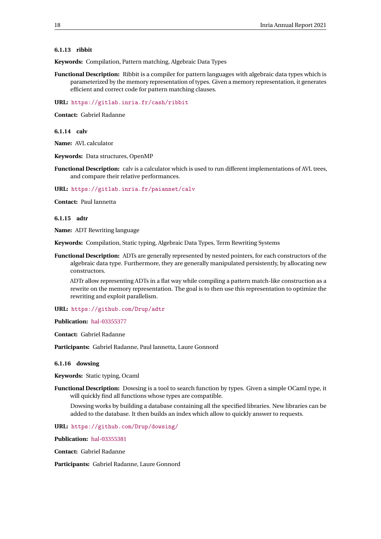# <span id="page-20-0"></span>**6.1.13 ribbit**

**Keywords:** Compilation, Pattern matching, Algebraic Data Types

**Functional Description:** Ribbit is a compiler for pattern languages with algebraic data types which is parameterized by the memory representation of types. Given a memory representation, it generates efficient and correct code for pattern matching clauses.

**URL:** <https://gitlab.inria.fr/cash/ribbit>

**Contact:** Gabriel Radanne

<span id="page-20-1"></span>**6.1.14 calv**

**Name:** AVL calculator

**Keywords:** Data structures, OpenMP

**Functional Description:** calv is a calculator which is used to run different implementations of AVL trees, and compare their relative performances.

**URL:** <https://gitlab.inria.fr/paiannet/calv>

**Contact:** Paul Iannetta

<span id="page-20-2"></span>**6.1.15 adtr**

**Name:** ADT Rewriting language

**Keywords:** Compilation, Static typing, Algebraic Data Types, Term Rewriting Systems

**Functional Description:** ADTs are generally represented by nested pointers, for each constructors of the algebraic data type. Furthermore, they are generally manipulated persistently, by allocating new constructors.

ADTr allow representing ADTs in a flat way while compiling a pattern match-like construction as a rewrite on the memory representation. The goal is to then use this representation to optimize the rewriting and exploit parallelism.

**URL:** <https://github.com/Drup/adtr>

**Publication:** [hal-03355377](https://hal.inria.fr/hal-03355377)

**Contact:** Gabriel Radanne

**Participants:** Gabriel Radanne, Paul Iannetta, Laure Gonnord

#### <span id="page-20-3"></span>**6.1.16 dowsing**

**Keywords:** Static typing, Ocaml

**Functional Description:** Dowsing is a tool to search function by types. Given a simple OCaml type, it will quickly find all functions whose types are compatible.

Dowsing works by building a database containing all the specified libraries. New libraries can be added to the database. It then builds an index which allow to quickly answer to requests.

**URL:** <https://github.com/Drup/dowsing/>

**Publication:** [hal-03355381](https://hal.inria.fr/hal-03355381)

**Contact:** Gabriel Radanne

**Participants:** Gabriel Radanne, Laure Gonnord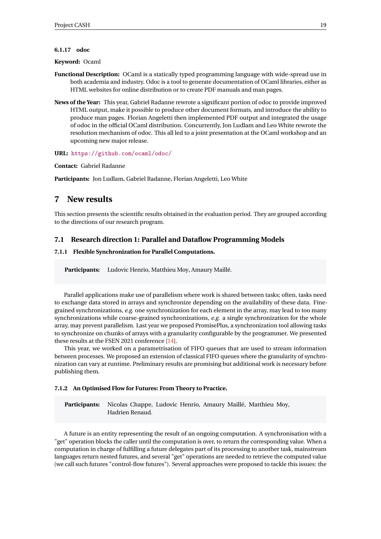#### <span id="page-21-0"></span>**6.1.17 odoc**

#### **Keyword:** Ocaml

- **Functional Description:** OCaml is a statically typed programming language with wide-spread use in both academia and industry. Odoc is a tool to generate documentation of OCaml libraries, either as HTML websites for online distribution or to create PDF manuals and man pages.
- **News of the Year:** This year, Gabriel Radanne rewrote a significant portion of odoc to provide improved HTML output, make it possible to produce other document formats, and introduce the ability to produce man pages. Florian Angeletti then implemented PDF output and integrated the usage of odoc in the official OCaml distribution. Concurrently, Jon Ludlam and Leo White rewrote the resolution mechanism of odoc. This all led to a joint presentation at the OCaml workshop and an upcoming new major release.
- **URL:** <https://github.com/ocaml/odoc/>

**Contact:** Gabriel Radanne

**Participants:** Jon Ludlam, Gabriel Radanne, Florian Angeletti, Leo White

# <span id="page-21-1"></span>**7 New results**

This section presents the scientific results obtained in the evaluation period. They are grouped according to the directions of our research program.

# <span id="page-21-2"></span>**7.1 Research direction 1: Parallel and Dataflow Programming Models**

# <span id="page-21-3"></span>**7.1.1 Flexible Synchronization for Parallel Computations.**

**Participants:** Ludovic Henrio, Matthieu Moy, Amaury Maillé.

Parallel applications make use of parallelism where work is shared between tasks; often, tasks need to exchange data stored in arrays and synchronize depending on the availability of these data. Finegrained synchronizations, *e.g.* one synchronization for each element in the array, may lead to too many synchronizations while coarse-grained synchronizations, *e.g.* a single synchronization for the whole array, may prevent parallelism. Last year we proposed PromisePlus, a synchronization tool allowing tasks to synchronize on chunks of arrays with a granularity configurable by the programmer. We presented these results at the FSEN 2021 conference [\[14\]](#page-35-1).

This year, we worked on a parametrisation of FIFO queues that are used to stream information between processes. We proposed an extension of classical FIFO queues where the granularity of synchronization can vary at runtime. Preliminary results are promising but additional work is necessary before publishing them.

#### <span id="page-21-4"></span>**7.1.2 An Optimised Flow for Futures: From Theory to Practice.**

**Participants:** Nicolas Chappe, Ludovic Henrio, Amaury Maillé, Matthieu Moy, Hadrien Renaud.

A future is an entity representing the result of an ongoing computation. A synchronisation with a "get" operation blocks the caller until the computation is over, to return the corresponding value. When a computation in charge of fulfilling a future delegates part of its processing to another task, mainstream languages return nested futures, and several "get" operations are needed to retrieve the computed value (we call such futures "control-flow futures"). Several approaches were proposed to tackle this issues: the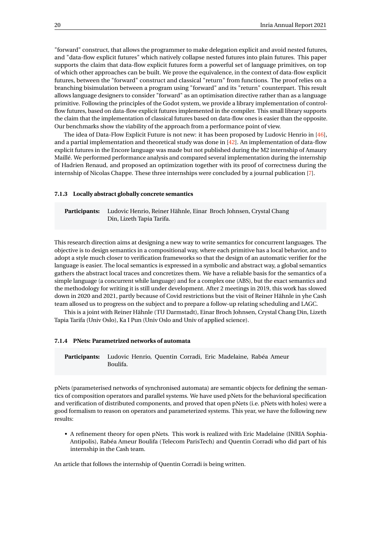"forward" construct, that allows the programmer to make delegation explicit and avoid nested futures, and "data-flow explicit futures" which natively collapse nested futures into plain futures. This paper supports the claim that data-flow explicit futures form a powerful set of language primitives, on top of which other approaches can be built. We prove the equivalence, in the context of data-flow explicit futures, between the "forward" construct and classical "return" from functions. The proof relies on a branching bisimulation between a program using "forward" and its "return" counterpart. This result allows language designers to consider "forward" as an optimisation directive rather than as a language primitive. Following the principles of the Godot system, we provide a library implementation of controlflow futures, based on data-flow explicit futures implemented in the compiler. This small library supports the claim that the implementation of classical futures based on data-flow ones is easier than the opposite. Our benchmarks show the viability of the approach from a performance point of view.

The idea of Data-Flow Explicit Future is not new: it has been proposed by Ludovic Henrio in [\[46\]](#page-37-17), and a partial implementation and theoretical study was done in [\[42\]](#page-37-18). An implementation of data-flow explicit futures in the Encore language was made but not published during the M2 internship of Amaury Maillé. We performed performance analysis and compared several implementation during the internship of Hadrien Renaud, and proposed an optimization together with its proof of correctness during the internship of Nicolas Chappe. These three internships were concluded by a journal publication [\[7\]](#page-34-5).

#### <span id="page-22-0"></span>**7.1.3 Locally abstract globally concrete semantics**

**Participants:** Ludovic Henrio, Reiner Hähnle, Einar Broch Johnsen, Crystal Chang Din, Lizeth Tapia Tarifa.

This research direction aims at designing a new way to write semantics for concurrent languages. The objective is to design semantics in a compositional way, where each primitive has a local behavior, and to adopt a style much closer to verification frameworks so that the design of an automatic verifier for the language is easier. The local semantics is expressed in a symbolic and abstract way, a global semantics gathers the abstract local traces and concretizes them. We have a reliable basis for the semantics of a simple language (a concurrent while language) and for a complex one (ABS), but the exact semantics and the methodology for writing it is still under development. After 2 meetings in 2019, this work has slowed down in 2020 and 2021, partly because of Covid restrictions but the visit of Reiner Hähnle in yhe Cash team allosed us to progress on the subject and to prepare a follow-up relating scheduling and LAGC.

This is a joint with Reiner Hähnle (TU Darmstadt), Einar Broch Johnsen, Crystal Chang Din, Lizeth Tapia Tarifa (Univ Oslo), Ka I Pun (Univ Oslo and Univ of applied science).

#### <span id="page-22-1"></span>**7.1.4 PNets: Parametrized networks of automata**

**Participants:** Ludovic Henrio, Quentin Corradi, Eric Madelaine, Rabéa Ameur Boulifa.

pNets (parameterised networks of synchronised automata) are semantic objects for defining the semantics of composition operators and parallel systems. We have used pNets for the behavioral specification and verification of distributed components, and proved that open pNets (i.e. pNets with holes) were a good formalism to reason on operators and parameterized systems. This year, we have the following new results:

• A refinement theory for open pNets. This work is realized with Eric Madelaine (INRIA Sophia-Antipolis), Rabéa Ameur Boulifa (Telecom ParisTech) and Quentin Corradi who did part of his internship in the Cash team.

An article that follows the internship of Quentin Corradi is being written.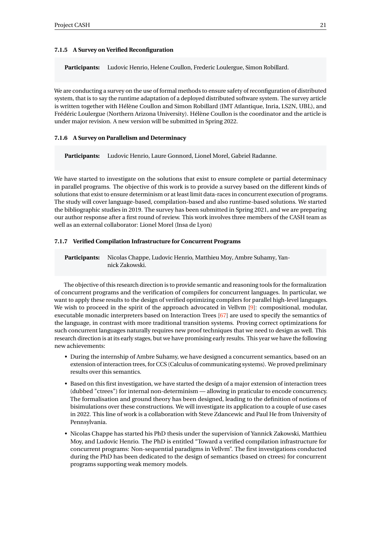#### <span id="page-23-0"></span>**7.1.5 A Survey on Verified Reconfiguration**

**Participants:** Ludovic Henrio, Helene Coullon, Frederic Loulergue, Simon Robillard.

We are conducting a survey on the use of formal methods to ensure safety of reconfiguration of distributed system, that is to say the runtime adaptation of a deployed distributed software system. The survey article is written together with Hélène Coullon and Simon Robillard (IMT Atlantique, Inria, LS2N, UBL), and Frédéric Loulergue (Northern Arizona University). Hélène Coullon is the coordinator and the article is under major revision. A new version will be submitted in Spring 2022.

#### <span id="page-23-1"></span>**7.1.6 A Survey on Parallelism and Determinacy**

**Participants:** Ludovic Henrio, Laure Gonnord, Lionel Morel, Gabriel Radanne.

We have started to investigate on the solutions that exist to ensure complete or partial determinacy in parallel programs. The objective of this work is to provide a survey based on the different kinds of solutions that exist to ensure determinism or at least limit data-races in concurrent execution of programs. The study will cover language-based, compilation-based and also runtime-based solutions. We started the bibliographic studies in 2019. The survey has been submitted in Spring 2021, and we are preparing our author response after a first round of review. This work involves three members of the CASH team as well as an external collaborator: Lionel Morel (Insa de Lyon)

## <span id="page-23-2"></span>**7.1.7 Verified Compilation Infrastructure for Concurrent Programs**

**Participants:** Nicolas Chappe, Ludovic Henrio, Matthieu Moy, Ambre Suhamy, Yannick Zakowski.

The objective of this research direction is to provide semantic and reasoning tools for the formalization of concurrent programs and the verification of compilers for concurrent languages. In particular, we want to apply these results to the design of verified optimizing compilers for parallel high-level languages. We wish to proceed in the spirit of the approach advocated in Vellvm [\[9\]](#page-34-3): compositional, modular, executable monadic interpreters based on Interaction Trees [\[67\]](#page-38-2) are used to specify the semantics of the language, in contrast with more traditional transition systems. Proving correct optimizations for such concurrent languages naturally requires new proof techniques that we need to design as well. This research direction is at its early stages, but we have promising early results. This year we have the following new achievements:

- During the internship of Ambre Suhamy, we have designed a concurrent semantics, based on an extension of interaction trees, for CCS (Calculus of communicating systems). We proved preliminary results over this semantics.
- Based on this first investigation, we have started the design of a major extension of interaction trees (dubbed "ctrees") for internal non-determinism — allowing in praticular to encode concurrency. The formalisation and ground theory has been designed, leading to the definition of notions of bisimulations over these constructions. We will investigate its application to a couple of use cases in 2022. This line of work is a collaboration with Steve Zdancewic and Paul He from University of Pennsylvania.
- Nicolas Chappe has started his PhD thesis under the supervision of Yannick Zakowski, Matthieu Moy, and Ludovic Henrio. The PhD is entitled "Toward a verified compilation infrastructure for concurrent programs: Non-sequential paradigms in Vellvm". The first investigations conducted during the PhD has been dedicated to the design of semantics (based on ctrees) for concurrent programs supporting weak memory models.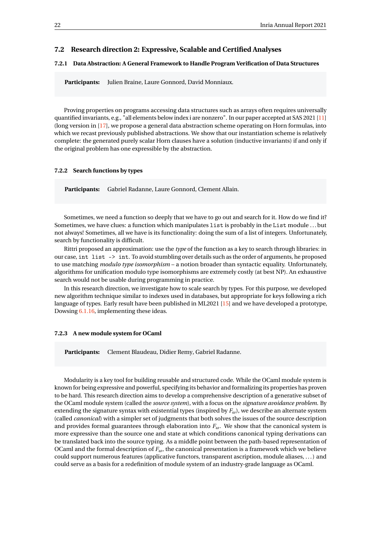# <span id="page-24-0"></span>**7.2 Research direction 2: Expressive, Scalable and Certified Analyses**

## <span id="page-24-1"></span>**7.2.1 Data Abstraction: A General Framework to Handle Program Verification of Data Structures**

Participants: Julien Braine, Laure Gonnord, David Monniaux.

Proving properties on programs accessing data structures such as arrays often requires universally quantified invariants, e.g., "all elements below index i are nonzero". In our paper accepted at SAS 2021 [\[11\]](#page-34-6) (long version in [\[17\]](#page-35-2), we propose a general data abstraction scheme operating on Horn formulas, into which we recast previously published abstractions. We show that our instantiation scheme is relatively complete: the generated purely scalar Horn clauses have a solution (inductive invariants) if and only if the original problem has one expressible by the abstraction.

#### <span id="page-24-2"></span>**7.2.2 Search functions by types**

**Participants:** Gabriel Radanne, Laure Gonnord, Clement Allain.

Sometimes, we need a function so deeply that we have to go out and search for it. How do we find it? Sometimes, we have clues: a function which manipulates list is probably in the List module ... but not always! Sometimes, all we have is its functionality: doing the sum of a list of integers. Unfortunately, search by functionality is difficult.

Rittri proposed an approximation: use the *type* of the function as a key to search through libraries: in our case, int list -> int. To avoid stumbling over details such as the order of arguments, he proposed to use matching *modulo type isomorphism* – a notion broader than syntactic equality. Unfortunately, algorithms for unification modulo type isomorphisms are extremely costly (at best NP). An exhaustive search would not be usable during programming in practice.

In this research direction, we investigate how to scale search by types. For this purpose, we developed new algorithm technique similar to indexes used in databases, but appropriate for keys following a rich language of types. Early result have been published in ML2021 [\[15\]](#page-35-3) and we have developed a prototype, Dowsing [6.1.16,](#page-20-3) implementing these ideas.

#### <span id="page-24-3"></span>**7.2.3 A new module system for OCaml**

**Participants:** Clement Blaudeau, Didier Remy, Gabriel Radanne.

Modularity is a key tool for building reusable and structured code. While the OCaml module system is known for being expressive and powerful, specifying its behavior and formalizing its properties has proven to be hard. This research direction aims to develop a comprehensive description of a generative subset of the OCaml module system (called the *source system*), with a focus on the *signature avoidance problem*. By extending the signature syntax with existential types (inspired by  $F_\omega$ ), we describe an alternate system (called *canonical*) with a simpler set of judgments that both solves the issues of the source description and provides formal guarantees through elaboration into *Fω*. We show that the canonical system is more expressive than the source one and state at which conditions canonical typing derivations can be translated back into the source typing. As a middle point between the path-based representation of OCaml and the formal description of *Fω*, the canonical presentation is a framework which we believe could support numerous features (applicative functors, transparent ascription, module aliases, . . . ) and could serve as a basis for a redefinition of module system of an industry-grade language as OCaml.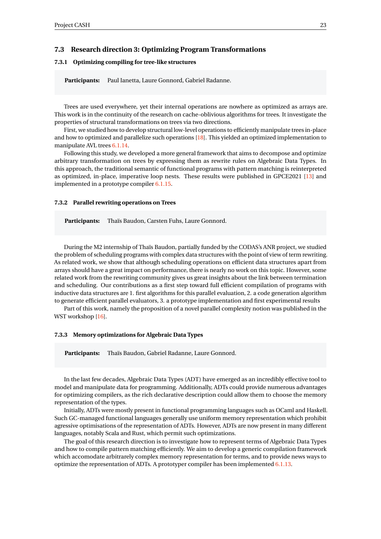# <span id="page-25-0"></span>**7.3 Research direction 3: Optimizing Program Transformations**

# <span id="page-25-1"></span>**7.3.1 Optimizing compiling for tree-like structures**

**Participants:** Paul Ianetta, Laure Gonnord, Gabriel Radanne.

Trees are used everywhere, yet their internal operations are nowhere as optimized as arrays are. This work is in the continuity of the research on cache-oblivious algorithms for trees. It investigate the properties of structural transformations on trees via two directions.

First, we studied how to develop structural low-level operations to efficiently manipulate trees in-place and how to optimized and parallelize such operations [\[18\]](#page-35-4). This yielded an optimized implementation to manipulate AVL trees [6.1.14.](#page-20-1)

Following this study, we developed a more general framework that aims to decompose and optimize arbitrary transformation on trees by expressing them as rewrite rules on Algebraic Data Types. In this approach, the traditional semantic of functional programs with pattern matching is reinterpreted as optimized, in-place, imperative loop nests. These results were published in GPCE2021 [\[13\]](#page-35-5) and implemented in a prototype compiler [6.1.15.](#page-20-2)

#### <span id="page-25-2"></span>**7.3.2 Parallel rewriting operations on Trees**

**Participants:** Thaïs Baudon, Carsten Fuhs, Laure Gonnord.

During the M2 internship of Thaïs Baudon, partially funded by the CODAS's ANR project, we studied the problem of scheduling programs with complex data structures with the point of view of term rewriting. As related work, we show that although scheduling operations on efficient data structures apart from arrays should have a great impact on performance, there is nearly no work on this topic. However, some related work from the rewriting community gives us great insights about the link between termination and scheduling. Our contributions as a first step toward full efficient compilation of programs with inductive data structures are 1. first algorithms for this parallel evaluation, 2. a code generation algorithm to generate efficient parallel evaluators, 3. a prototype implementation and first experimental results

Part of this work, namely the proposition of a novel parallel complexity notion was published in the WST workshop [\[16\]](#page-35-6).

#### <span id="page-25-3"></span>**7.3.3 Memory optimizations for Algebraic Data Types**

**Participants:** Thaïs Baudon, Gabriel Radanne, Laure Gonnord.

In the last few decades, Algebraic Data Types (ADT) have emerged as an incredibly effective tool to model and manipulate data for programming. Additionally, ADTs could provide numerous advantages for optimizing compilers, as the rich declarative description could allow them to choose the memory representation of the types.

Initially, ADTs were mostly present in functional programming languages such as OCaml and Haskell. Such GC-managed functional languages generally use uniform memory representation which prohibit agressive optimisations of the representation of ADTs. However, ADTs are now present in many different languages, notably Scala and Rust, which permit such optimizations.

The goal of this research direction is to investigate how to represent terms of Algebraic Data Types and how to compile pattern matching efficiently. We aim to develop a generic compilation framework which accomodate arbitrarely complex memory representation for terms, and to provide news ways to optimize the representation of ADTs. A prototyper compiler has been implemented [6.1.13.](#page-20-0)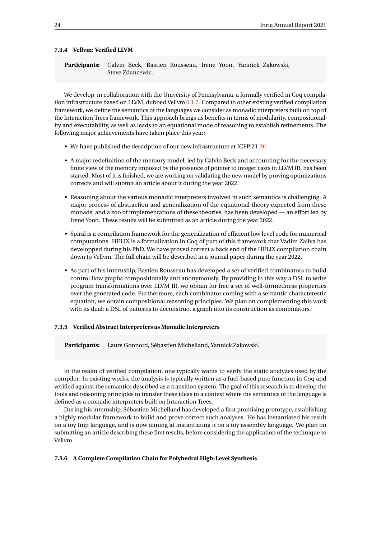#### <span id="page-26-0"></span>**7.3.4 Vellvm: Verified LLVM**

**Participants:** Calvin Beck, Bastien Rousseau, Irene Yoon, Yannick Zakowski, Steve Zdancewic.

We develop, in collaboration with the University of Pennsylvania, a formally verified in Coq compilation infrastructure based on LLVM, dubbed Vellvm [6.1.7.](#page-18-0) Compared to other existing verified compilation framework, we define the semantics of the languages we consider as monadic interpreters built on top of the Interaction Trees framework. This approach brings us benefits in terms of modularity, compositionality and executability, as well as leads to an equational mode of reasoning to establish refinements. The following major achievements have taken place this year:

- We have published the description of our new infrastructure at ICFP'21 [\[9\]](#page-34-3).
- A major redefinition of the memory model, led by Calvin Beck and accounting for the necessary finite view of the memory imposed by the presence of pointer to integer casts in LLVM IR, has been started. Most of it is finished, we are working on validating the new model by proving optimizations corrects and will submit an article about it during the year 2022.
- Reasoning about the various monadic interpreters involved in such semantics is challenging. A major process of abstraction and generalization of the equational theory expected from these monads, and a zoo of implementations of these theories, has been developed — an effort led by Irene Yoon. These results will be submitted as an article during the year 2022.
- Spiral is a compilation framework for the generalization of efficient low level code for numerical computations. HELIX is a formalization in Coq of part of this framework that Vadim Zaliva has developped during his PhD. We have proved correct a back end of the HELIX compilation chain down to Vellvm. The full chain will be described in a journal paper during the year 2022.
- As part of his internship, Bastien Rousseau has developed a set of verified combinators to build control flow graphs compositionally and anonymously. By providing in this way a DSL to write program transformations over LLVM IR, we obtain for free a set of well-formedness properties over the generated code. Furthermore, each combinator coming with a semantic characterestic equation, we obtain compositional reasoning principles. We plan on complementing this work with its dual: a DSL of patterns to deconstruct a graph into its construction as combinators.

#### <span id="page-26-1"></span>**7.3.5 Verified Abstract Interpreters as Monadic Interpreters**

**Participants:** Laure Gonnord, Sébastien Michelland, Yannick Zakowski.

In the realm of verified compilation, one typically wants to verify the static analyzes used by the compiler. In existing works, the analysis is typically written as a fuel-based pure function in Coq and verified against the semantics described as a transition system. The goal of this research is to develop the tools and reasoning principles to transfer these ideas to a context where the semantics of the language is defined as a monadic interpreters built on Interaction Trees.

During his internship, Sébastien Michelland has developed a first promising prototype, establishing a highly modular framework to build and prove correct such analyses. He has instantiated his result on a toy Imp language, and is now aiming at instantiating it on a toy assembly language. We plan on submitting an article describing these first results, before considering the application of the technique to Vellvm.

#### <span id="page-26-2"></span>**7.3.6 A Complete Compilation Chain for Polyhedral High-Level Synthesis**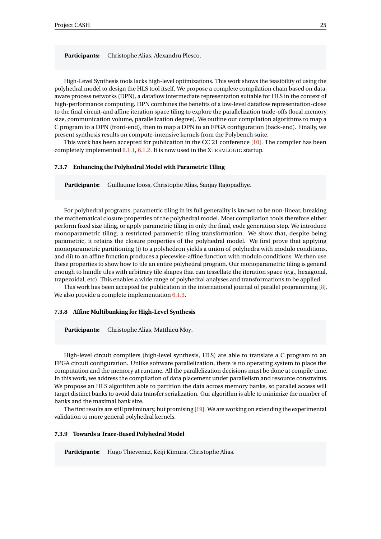**Participants:** Christophe Alias, Alexandru Plesco.

High-Level Synthesis tools lacks high-level optimizations. This work shows the feasibility of using the polyhedral model to design the HLS tool itself. We propose a complete compilation chain based on dataaware process networks (DPN), a dataflow intermediate representation suitable for HLS in the context of high-performance computing. DPN combines the benefits of a low-level dataflow representation-close to the final circuit-and affine iteration space tiling to explore the parallelization trade-offs (local memory size, communication volume, parallelization degree). We outline our compilation algorithms to map a C program to a DPN (front-end), then to map a DPN to an FPGA configuration (back-end). Finally, we present synthesis results on compute-intensive kernels from the Polybench suite.

This work has been accepted for publication in the CC'21 conference [\[10\]](#page-34-4). The compiler has been completely implemented [6.1.1,](#page-16-2) [6.1.2.](#page-16-3) It is now used in the XTREMLOGIC startup.

#### <span id="page-27-0"></span>**7.3.7 Enhancing the Polyhedral Model with Parametric Tiling**

**Participants:** Guillaume Iooss, Christophe Alias, Sanjay Rajopadhye.

For polyhedral programs, parametric tiling in its full generality is known to be non-linear, breaking the mathematical closure properties of the polyhedral model. Most compilation tools therefore either perform fixed size tiling, or apply parametric tiling in only the final, code generation step. We introduce monoparametric tiling, a restricted parametric tiling transformation. We show that, despite being parametric, it retains the closure properties of the polyhedral model. We first prove that applying monoparametric partitioning (i) to a polyhedron yields a union of polyhedra with modulo conditions, and (ii) to an affine function produces a piecewise-affine function with modulo conditions. We then use these properties to show how to tile an entire polyhedral program. Our monoparametric tiling is general enough to handle tiles with arbitrary tile shapes that can tessellate the iteration space (e.g., hexagonal, trapezoidal, etc). This enables a wide range of polyhedral analyses and transformations to be applied.

This work has been accepted for publication in the international journal of parallel programming [\[8\]](#page-34-7). We also provide a complete implementation  $6.1.3$ .

#### <span id="page-27-1"></span>**7.3.8 Affine Multibanking for High-Level Synthesis**

**Participants:** Christophe Alias, Matthieu Moy.

High-level circuit compilers (high-level synthesis, HLS) are able to translate a C program to an FPGA circuit configuration. Unlike software parallelization, there is no operating system to place the computation and the memory at runtime. All the parallelization decisions must be done at compile time. In this work, we address the compilation of data placement under parallelism and resource constraints. We propose an HLS algorithm able to partition the data across memory banks, so parallel access will target distinct banks to avoid data transfer serialization. Our algorithm is able to minimize the number of banks and the maximal bank size.

The first results are still preliminary, but promising [\[19\]](#page-35-7). We are working on extending the experimental validation to more general polyhedral kernels.

#### <span id="page-27-2"></span>**7.3.9 Towards a Trace-Based Polyhedral Model**

**Participants:** Hugo Thievenaz, Keiji Kimura, Christophe Alias.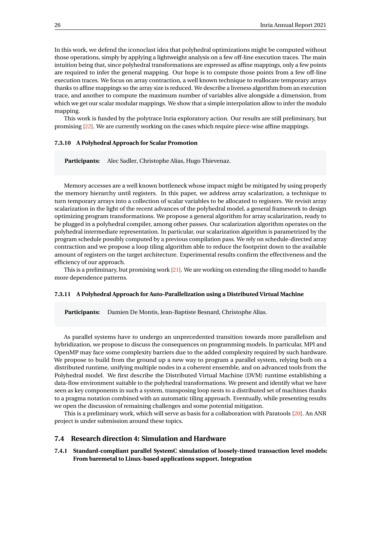In this work, we defend the iconoclast idea that polyhedral optimizations might be computed without those operations, simply by applying a lightweight analysis on a few off-line execution traces. The main intuition being that, since polyhedral transformations are expressed as affine mappings, only a few points are required to infer the general mapping. Our hope is to compute those points from a few off-line execution traces. We focus on array contraction, a well known technique to reallocate temporary arrays thanks to affine mappings so the array size is reduced. We describe a liveness algorithm from an execution trace, and another to compute the maximum number of variables alive alongside a dimension, from which we get our scalar modular mappings. We show that a simple interpolation allow to infer the modulo mapping.

This work is funded by the polytrace Inria exploratory action. Our results are still preliminary, but promising [\[22\]](#page-35-8). We are currently working on the cases which require piece-wise affine mappings.

#### <span id="page-28-0"></span>**7.3.10 A Polyhedral Approach for Scalar Promotion**

**Participants:** Alec Sadler, Christophe Alias, Hugo Thievenaz.

Memory accesses are a well known bottleneck whose impact might be mitigated by using properly the memory hierarchy until registers. In this paper, we address array scalarization, a technique to turn temporary arrays into a collection of scalar variables to be allocated to registers. We revisit array scalarization in the light of the recent advances of the polyhedral model, a general framework to design optimizing program transformations. We propose a general algorithm for array scalarization, ready to be plugged in a polyhedral compiler, among other passes. Our scalarization algorithm operates on the polyhedral intermediate representation. In particular, our scalarization algorithm is parametrized by the program schedule possibly computed by a previous compilation pass. We rely on schedule-directed array contraction and we propose a loop tiling algorithm able to reduce the footprint down to the available amount of registers on the target architecture. Experimental results confirm the effectiveness and the efficiency of our approach.

This is a preliminary, but promising work [\[21\]](#page-35-9). We are working on extending the tiling model to handle more dependence patterns.

#### <span id="page-28-1"></span>**7.3.11 A Polyhedral Approach for Auto-Parallelization using a Distributed Virtual Machine**

**Participants:** Damien De Montis, Jean-Baptiste Besnard, Christophe Alias.

As parallel systems have to undergo an unprecedented transition towards more parallelism and hybridization, we propose to discuss the consequences on programming models. In particular, MPI and OpenMP may face some complexity barriers due to the added complexity required by such hardware. We propose to build from the ground up a new way to program a parallel system, relying both on a distributed runtime, unifying multiple nodes in a coherent ensemble, and on advanced tools from the Polyhedral model. We first describe the Distributed Virtual Machine (DVM) runtime establishing a data-flow environment suitable to the polyhedral transformations. We present and identify what we have seen as key components in such a system, transposing loop nests to a distributed set of machines thanks to a pragma notation combined with an automatic tiling approach. Eventually, while presenting results we open the discussion of remaining challenges and some potential mitigation.

This is a preliminary work, which will serve as basis for a collaboration with Paratools [\[20\]](#page-35-10). An ANR project is under submission around these topics.

# <span id="page-28-2"></span>**7.4 Research direction 4: Simulation and Hardware**

<span id="page-28-3"></span>**7.4.1 Standard-compliant parallel SystemC simulation of loosely-timed transaction level models: From baremetal to Linux-based applications support. Integration**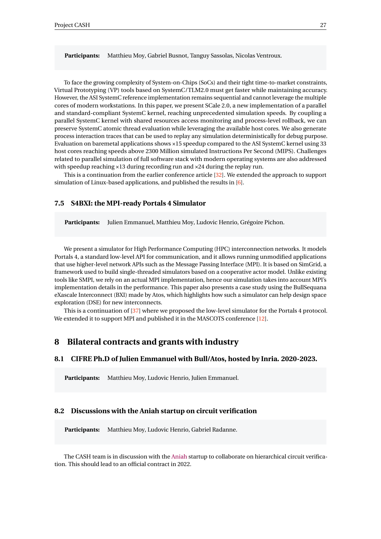**Participants:** Matthieu Moy, Gabriel Busnot, Tanguy Sassolas, Nicolas Ventroux.

To face the growing complexity of System-on-Chips (SoCs) and their tight time-to-market constraints, Virtual Prototyping (VP) tools based on SystemC/TLM2.0 must get faster while maintaining accuracy. However, the ASI SystemC reference implementation remains sequential and cannot leverage the multiple cores of modern workstations. In this paper, we present SCale 2.0, a new implementation of a parallel and standard-compliant SystemC kernel, reaching unprecedented simulation speeds. By coupling a parallel SystemC kernel with shared resources access monitoring and process-level rollback, we can preserve SystemC atomic thread evaluation while leveraging the available host cores. We also generate process interaction traces that can be used to replay any simulation deterministically for debug purpose. Evaluation on baremetal applications shows ×15 speedup compared to the ASI SystemC kernel using 33 host cores reaching speeds above 2300 Million simulated Instructions Per Second (MIPS). Challenges related to parallel simulation of full software stack with modern operating systems are also addressed with speedup reaching ×13 during recording run and ×24 during the replay run.

This is a continuation from the earlier conference article [\[32\]](#page-36-15). We extended the approach to support simulation of Linux-based applications, and published the results in [\[6\]](#page-34-8).

# <span id="page-29-0"></span>**7.5 S4BXI: the MPI-ready Portals 4 Simulator**

**Participants:** Julien Emmanuel, Matthieu Moy, Ludovic Henrio, Grégoire Pichon.

We present a simulator for High Performance Computing (HPC) interconnection networks. It models Portals 4, a standard low-level API for communication, and it allows running unmodified applications that use higher-level network APIs such as the Message Passing Interface (MPI). It is based on SimGrid, a framework used to build single-threaded simulators based on a cooperative actor model. Unlike existing tools like SMPI, we rely on an actual MPI implementation, hence our simulation takes into account MPI's implementation details in the performance. This paper also presents a case study using the BullSequana eXascale Interconnect (BXI) made by Atos, which highlights how such a simulator can help design space exploration (DSE) for new interconnects.

This is a continuation of [\[37\]](#page-36-12) where we proposed the low-level simulator for the Portals 4 protocol. We extended it to support MPI and published it in the MASCOTS conference [\[12\]](#page-35-11).

# <span id="page-29-1"></span>**8 Bilateral contracts and grants with industry**

# <span id="page-29-2"></span>**8.1 CIFRE Ph.D of Julien Emmanuel with Bull/Atos, hosted by Inria. 2020-2023.**

**Participants:** Matthieu Moy, Ludovic Henrio, Julien Emmanuel.

# <span id="page-29-3"></span>**8.2 Discussions with the Aniah startup on circuit verification**

**Participants:** Matthieu Moy, Ludovic Henrio, Gabriel Radanne.

The CASH team is in discussion with the [Aniah](https://www.aniah.fr/) startup to collaborate on hierarchical circuit verification. This should lead to an official contract in 2022.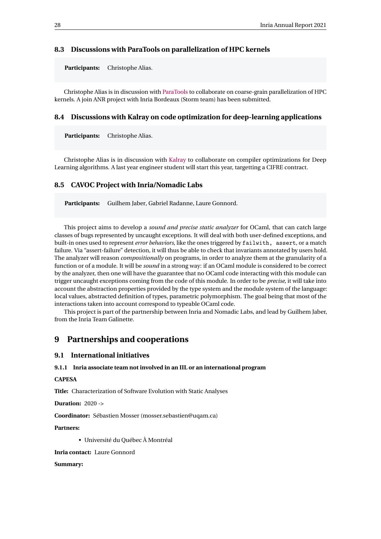# <span id="page-30-0"></span>**8.3 Discussions with ParaTools on parallelization of HPC kernels**

**Participants:** Christophe Alias.

Christophe Alias is in discussion with [ParaTools](https://www.paratools.com/) to collaborate on coarse-grain parallelization of HPC kernels. A join ANR project with Inria Bordeaux (Storm team) has been submitted.

## <span id="page-30-1"></span>**8.4 Discussions with Kalray on code optimization for deep-learning applications**

**Participants:** Christophe Alias.

Christophe Alias is in discussion with [Kalray](https://www.kalrayinc.com/) to collaborate on compiler optimizations for Deep Learning algorithms. A last year engineer student will start this year, targetting a CIFRE contract.

# <span id="page-30-2"></span>**8.5 CAVOC Project with Inria/Nomadic Labs**

**Participants:** Guilhem Jaber, Gabriel Radanne, Laure Gonnord.

This project aims to develop a *sound and precise static analyzer* for OCaml, that can catch large classes of bugs represented by uncaught exceptions. It will deal with both user-defined exceptions, and built-in ones used to represent *error behaviors*, like the ones triggered by failwith, assert, or a match failure. Via "assert-failure" detection, it will thus be able to check that invariants annotated by users hold. The analyzer will reason *compositionally* on programs, in order to analyze them at the granularity of a function or of a module. It will be *sound* in a strong way: if an OCaml module is considered to be correct by the analyzer, then one will have the guarantee that no OCaml code interacting with this module can trigger uncaught exceptions coming from the code of this module. In order to be *precise*, it will take into account the abstraction properties provided by the type system and the module system of the language: local values, abstracted definition of types, parametric polymorphism. The goal being that most of the interactions taken into account correspond to typeable OCaml code.

This project is part of the partnership between Inria and Nomadic Labs, and lead by Guilhem Jaber, from the Inria Team Galinette.

# <span id="page-30-3"></span>**9 Partnerships and cooperations**

# <span id="page-30-4"></span>**9.1 International initiatives**

## <span id="page-30-5"></span>**9.1.1 Inria associate team not involved in an IIL or an international program**

#### **CAPESA**

**Title:** Characterization of Software Evolution with Static Analyses

**Duration:** 2020 ->

**Coordinator:** Sébastien Mosser (mosser.sebastien@uqam.ca)

#### **Partners:**

• Université du Québec À Montréal

**Inria contact:** Laure Gonnord

**Summary:**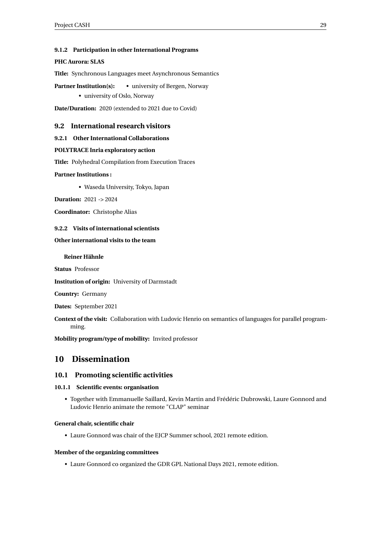# <span id="page-31-0"></span>**9.1.2 Participation in other International Programs**

# **PHC Aurora: SLAS**

**Title:** Synchronous Languages meet Asynchronous Semantics

**Partner Institution(s):** • university of Bergen, Norway

• university of Oslo, Norway

**Date/Duration:** 2020 (extended to 2021 due to Covid)

# <span id="page-31-1"></span>**9.2 International research visitors**

# <span id="page-31-2"></span>**9.2.1 Other International Collaborations**

# **POLYTRACE Inria exploratory action**

**Title:** Polyhedral Compilation from Execution Traces

# **Partner Institutions :**

• Waseda University, Tokyo, Japan

**Duration:** 2021 -> 2024

**Coordinator:** Christophe Alias

# <span id="page-31-3"></span>**9.2.2 Visits of international scientists**

# **Other international visits to the team**

# **Reiner Hähnle**

**Status** Professor

**Institution of origin:** University of Darmstadt

**Country:** Germany

**Dates:** September 2021

**Context of the visit:** Collaboration with Ludovic Henrio on semantics of languages for parallel programming.

**Mobility program/type of mobility:** Invited professor

# <span id="page-31-4"></span>**10 Dissemination**

# <span id="page-31-5"></span>**10.1 Promoting scientific activities**

## <span id="page-31-6"></span>**10.1.1 Scientific events: organisation**

• Together with Emmanuelle Saillard, Kevin Martin and Frédéric Dubrowski, Laure Gonnord and Ludovic Henrio animate the remote "CLAP" seminar

# **General chair, scientific chair**

• Laure Gonnord was chair of the EJCP Summer school, 2021 remote edition.

## **Member of the organizing committees**

• Laure Gonnord co organized the GDR GPL National Days 2021, remote edition.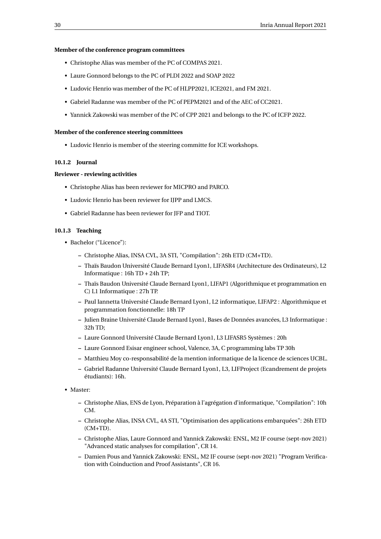#### **Member of the conference program committees**

- Christophe Alias was member of the PC of COMPAS 2021.
- Laure Gonnord belongs to the PC of PLDI 2022 and SOAP 2022
- Ludovic Henrio was member of the PC of HLPP2021, ICE2021, and FM 2021.
- Gabriel Radanne was member of the PC of PEPM2021 and of the AEC of CC2021.
- Yannick Zakowski was member of the PC of CPP 2021 and belongs to the PC of ICFP 2022.

## **Member of the conference steering committees**

• Ludovic Henrio is member of the steering committe for ICE workshops.

# <span id="page-32-0"></span>**10.1.2 Journal**

# **Reviewer - reviewing activities**

- Christophe Alias has been reviewer for MICPRO and PARCO.
- Ludovic Henrio has been reviewer for IJPP and LMCS.
- Gabriel Radanne has been reviewer for JFP and TIOT.

# <span id="page-32-1"></span>**10.1.3 Teaching**

- Bachelor ("Licence"):
	- **–** Christophe Alias, INSA CVL, 3A STI, "Compilation": 26h ETD (CM+TD).
	- **–** Thaïs Baudon Université Claude Bernard Lyon1, LIFASR4 (Architecture des Ordinateurs), L2 Informatique : 16h TD + 24h TP;
	- **–** Thaïs Baudon Université Claude Bernard Lyon1, LIFAP1 (Algorithmique et programmation en C) L1 Informatique : 27h TP.
	- **–** Paul Iannetta Université Claude Bernard Lyon1, L2 informatique, LIFAP2 : Algorithmique et programmation fonctionnelle: 18h TP
	- **–** Julien Braine Université Claude Bernard Lyon1, Bases de Données avancées, L3 Informatique : 32h TD;
	- **–** Laure Gonnord Université Claude Bernard Lyon1, L3 LIFASR5 Systèmes : 20h
	- **–** Laure Gonnord Esisar engineer school, Valence, 3A, C programming labs TP 30h
	- **–** Matthieu Moy co-responsabilité de la mention informatique de la licence de sciences UCBL.
	- **–** Gabriel Radanne Université Claude Bernard Lyon1, L3, LIFProject (Ecandrement de projets étudiants): 16h.
- Master:
	- **–** Christophe Alias, ENS de Lyon, Préparation à l'agrégation d'informatique, "Compilation": 10h CM.
	- **–** Christophe Alias, INSA CVL, 4A STI, "Optimisation des applications embarquées": 26h ETD (CM+TD).
	- **–** Christophe Alias, Laure Gonnord and Yannick Zakowski: ENSL, M2 IF course (sept-nov 2021) "Advanced static analyses for compilation", CR 14.
	- **–** Damien Pous and Yannick Zakowski: ENSL, M2 IF course (sept-nov 2021) "Program Verification with Coinduction and Proof Assistants", CR 16.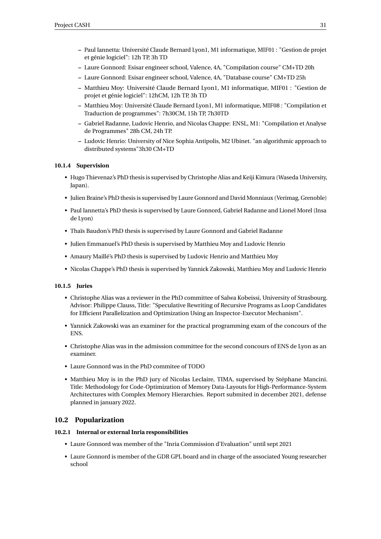- **–** Paul Iannetta: Université Claude Bernard Lyon1, M1 informatique, MIF01 : "Gestion de projet et génie logiciel": 12h TP, 3h TD
- **–** Laure Gonnord: Esisar engineer school, Valence, 4A, "Compilation course" CM+TD 20h
- **–** Laure Gonnord: Esisar engineer school, Valence, 4A, "Database course" CM+TD 25h
- **–** Matthieu Moy: Université Claude Bernard Lyon1, M1 informatique, MIF01 : "Gestion de projet et génie logiciel": 12hCM, 12h TP, 3h TD
- **–** Matthieu Moy: Université Claude Bernard Lyon1, M1 informatique, MIF08 : "Compilation et Traduction de programmes": 7h30CM, 15h TP, 7h30TD
- **–** Gabriel Radanne, Ludovic Henrio, and Nicolas Chappe: ENSL, M1: "Compilation et Analyse de Programmes" 28h CM, 24h TP.
- **–** Ludovic Henrio: University of Nice Sophia Antipolis, M2 Ubinet. "an algorithmic approach to distributed systems"3h30 CM+TD

# <span id="page-33-0"></span>**10.1.4 Supervision**

- Hugo Thievenaz's PhD thesis is supervised by Christophe Alias and Keiji Kimura (Waseda University, Japan).
- Julien Braine's PhD thesis is supervised by Laure Gonnord and David Monniaux (Verimag, Grenoble)
- Paul Iannetta's PhD thesis is supervised by Laure Gonnord, Gabriel Radanne and Lionel Morel (Insa de Lyon)
- Thaïs Baudon's PhD thesis is supervised by Laure Gonnord and Gabriel Radanne
- Julien Emmanuel's PhD thesis is supervised by Matthieu Moy and Ludovic Henrio
- Amaury Maillé's PhD thesis is supervised by Ludovic Henrio and Matthieu Moy
- Nicolas Chappe's PhD thesis is supervised by Yannick Zakowski, Matthieu Moy and Ludovic Henrio

## <span id="page-33-1"></span>**10.1.5 Juries**

- Christophe Alias was a reviewer in the PhD committee of Salwa Kobeissi, University of Strasbourg. Advisor: Philippe Clauss, Title: "Speculative Rewriting of Recursive Programs as Loop Candidates for Efficient Parallelization and Optimization Using an Inspector-Executor Mechanism".
- Yannick Zakowski was an examiner for the practical programming exam of the concours of the ENS.
- Christophe Alias was in the admission committee for the second concours of ENS de Lyon as an examiner.
- Laure Gonnord was in the PhD commitee of TODO
- Matthieu Moy is in the PhD jury of Nicolas Leclaire, TIMA, supervised by Stéphane Mancini. Title: Methodology for Code-Optimization of Memory Data-Layouts for High-Performance-System Architectures with Complex Memory Hierarchies. Report submited in december 2021, defense planned in january 2022.

# <span id="page-33-2"></span>**10.2 Popularization**

## <span id="page-33-3"></span>**10.2.1 Internal or external Inria responsibilities**

- Laure Gonnord was member of the "Inria Commission d'Evaluation" until sept 2021
- Laure Gonnord is member of the GDR GPL board and in charge of the associated Young researcher school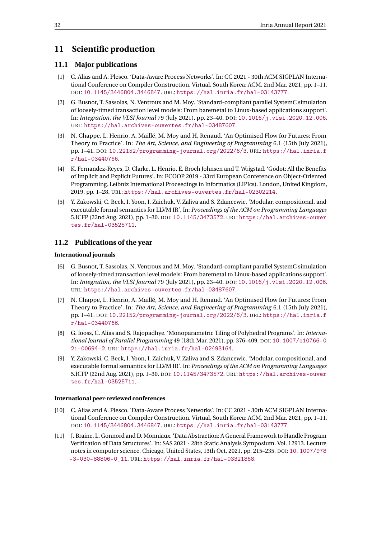# <span id="page-34-0"></span>**11 Scientific production**

# <span id="page-34-1"></span>**11.1 Major publications**

- [1] C. Alias and A. Plesco. 'Data-Aware Process Networks'. In: CC 2021 30th ACM SIGPLAN International Conference on Compiler Construction. Virtual, South Korea: ACM, 2nd Mar. 2021, pp. 1–11. DOI: [10.1145/3446804.3446847](https://doi.org/10.1145/3446804.3446847). URL: <https://hal.inria.fr/hal-03143777>.
- [2] G. Busnot, T. Sassolas, N. Ventroux and M. Moy. 'Standard-compliant parallel SystemC simulation of loosely-timed transaction level models: From baremetal to Linux-based applications support'. In: *Integration, the VLSI Journal* 79 (July 2021), pp. 23–40. DOI: [10.1016/j.vlsi.2020.12.006](https://doi.org/10.1016/j.vlsi.2020.12.006). URL: <https://hal.archives-ouvertes.fr/hal-03487607>.
- [3] N. Chappe, L. Henrio, A. Maillé, M. Moy and H. Renaud. 'An Optimised Flow for Futures: From Theory to Practice'. In: *The Art, Science, and Engineering of Programming* 6.1 (15th July 2021), pp. 1–41. DOI: [10.22152/programming-journal.org/2022/6/3](https://doi.org/10.22152/programming-journal.org/2022/6/3). URL: [https://hal.inria.f](https://hal.inria.fr/hal-03440766) [r/hal-03440766](https://hal.inria.fr/hal-03440766).
- [4] K. Fernandez-Reyes, D. Clarke, L. Henrio, E. Broch Johnsen and T. Wrigstad. 'Godot: All the Benefits of Implicit and Explicit Futures'. In: ECOOP 2019 - 33rd European Conference on Object-Oriented Programming. Leibniz International Proceedings in Informatics (LIPIcs). London, United Kingdom, 2019, pp. 1–28. URL: <https://hal.archives-ouvertes.fr/hal-02302214>.
- [5] Y. Zakowski, C. Beck, I. Yoon, I. Zaichuk, V. Zaliva and S. Zdancewic. 'Modular, compositional, and executable formal semantics for LLVM IR'. In: *Proceedings of the ACM on Programming Languages* 5.ICFP (22nd Aug. 2021), pp. 1–30. DOI: [10.1145/3473572](https://doi.org/10.1145/3473572). URL: [https://hal.archives-ouver](https://hal.archives-ouvertes.fr/hal-03525711) [tes.fr/hal-03525711](https://hal.archives-ouvertes.fr/hal-03525711).

# <span id="page-34-2"></span>**11.2 Publications of the year**

#### **International journals**

- <span id="page-34-8"></span>[6] G. Busnot, T. Sassolas, N. Ventroux and M. Moy. 'Standard-compliant parallel SystemC simulation of loosely-timed transaction level models: From baremetal to Linux-based applications support'. In: *Integration, the VLSI Journal* 79 (July 2021), pp. 23–40. DOI: [10.1016/j.vlsi.2020.12.006](https://doi.org/10.1016/j.vlsi.2020.12.006). URL: <https://hal.archives-ouvertes.fr/hal-03487607>.
- <span id="page-34-5"></span>[7] N. Chappe, L. Henrio, A. Maillé, M. Moy and H. Renaud. 'An Optimised Flow for Futures: From Theory to Practice'. In: *The Art, Science, and Engineering of Programming* 6.1 (15th July 2021), pp. 1–41. DOI: [10.22152/programming-journal.org/2022/6/3](https://doi.org/10.22152/programming-journal.org/2022/6/3). URL: [https://hal.inria.f](https://hal.inria.fr/hal-03440766) [r/hal-03440766](https://hal.inria.fr/hal-03440766).
- <span id="page-34-7"></span>[8] G. Iooss, C. Alias and S. Rajopadhye. 'Monoparametric Tiling of Polyhedral Programs'. In: *International Journal of Parallel Programming* 49 (18th Mar. 2021), pp. 376–409. DOI: [10.1007/s10766-0](https://doi.org/10.1007/s10766-021-00694-2) [21-00694-2](https://doi.org/10.1007/s10766-021-00694-2). URL: <https://hal.inria.fr/hal-02493164>.
- <span id="page-34-3"></span>[9] Y. Zakowski, C. Beck, I. Yoon, I. Zaichuk, V. Zaliva and S. Zdancewic. 'Modular, compositional, and executable formal semantics for LLVM IR'. In: *Proceedings of the ACM on Programming Languages* 5.ICFP (22nd Aug. 2021), pp. 1–30. DOI: [10.1145/3473572](https://doi.org/10.1145/3473572). URL: [https://hal.archives-ouver](https://hal.archives-ouvertes.fr/hal-03525711) [tes.fr/hal-03525711](https://hal.archives-ouvertes.fr/hal-03525711).

#### **International peer-reviewed conferences**

- <span id="page-34-4"></span>[10] C. Alias and A. Plesco. 'Data-Aware Process Networks'. In: CC 2021 - 30th ACM SIGPLAN International Conference on Compiler Construction. Virtual, South Korea: ACM, 2nd Mar. 2021, pp. 1–11. DOI: [10.1145/3446804.3446847](https://doi.org/10.1145/3446804.3446847). URL: <https://hal.inria.fr/hal-03143777>.
- <span id="page-34-6"></span>[11] J. Braine, L. Gonnord and D. Monniaux. 'Data Abstraction: A General Framework to Handle Program Verification of Data Structures'. In: SAS 2021 - 28th Static Analysis Symposium. Vol. 12913. Lecture notes in computer science. Chicago, United States, 13th Oct. 2021, pp. 215–235. DOI: [10.1007/978](https://doi.org/10.1007/978-3-030-88806-0_11) [-3-030-88806-0\\_11](https://doi.org/10.1007/978-3-030-88806-0_11). URL: <https://hal.inria.fr/hal-03321868>.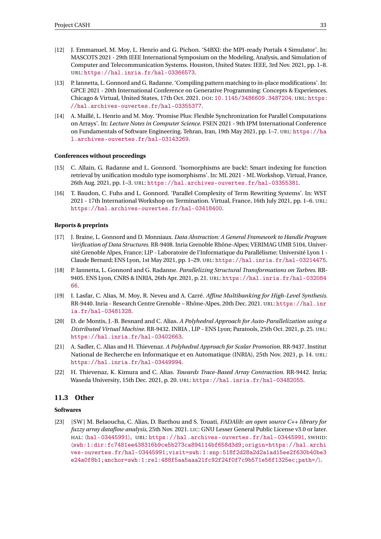- <span id="page-35-11"></span>[12] J. Emmanuel, M. Moy, L. Henrio and G. Pichon. 'S4BXI: the MPI-ready Portals 4 Simulator'. In: MASCOTS 2021 - 29th IEEE International Symposium on the Modeling, Analysis, and Simulation of Computer and Telecommunication Systems. Houston, United States: IEEE, 3rd Nov. 2021, pp. 1–8. URL: <https://hal.inria.fr/hal-03366573>.
- <span id="page-35-5"></span>[13] P. Iannetta, L. Gonnord and G. Radanne. 'Compiling pattern matching to in-place modifications'. In: GPCE 2021 - 20th International Conference on Generative Programming: Concepts & Experiences. Chicago & Virtual, United States, 17th Oct. 2021. DOI: [10.1145/3486609.3487204](https://doi.org/10.1145/3486609.3487204). URL: [https:](https://hal.archives-ouvertes.fr/hal-03355377) [//hal.archives-ouvertes.fr/hal-03355377](https://hal.archives-ouvertes.fr/hal-03355377).
- <span id="page-35-1"></span>[14] A. Maillé, L. Henrio and M. Moy. 'Promise Plus: Flexible Synchronization for Parallel Computations on Arrays'. In: *Lecture Notes in Computer Science*. FSEN 2021 - 9th IPM International Conference on Fundamentals of Software Engineering. Tehran, Iran, 19th May 2021, pp. 1–7. URL: [https://ha](https://hal.archives-ouvertes.fr/hal-03143269) [l.archives-ouvertes.fr/hal-03143269](https://hal.archives-ouvertes.fr/hal-03143269).

#### **Conferences without proceedings**

- <span id="page-35-3"></span>[15] C. Allain, G. Radanne and L. Gonnord. 'Isomorphisms are back!: Smart indexing for function retrieval by unification modulo type isomorphisms'. In: ML 2021 - ML Workshop. Virtual, France, 26th Aug. 2021, pp. 1–3. URL: <https://hal.archives-ouvertes.fr/hal-03355381>.
- <span id="page-35-6"></span>[16] T. Baudon, C. Fuhs and L. Gonnord. 'Parallel Complexity of Term Rewriting Systems'. In: WST 2021 - 17th International Workshop on Termination. Virtual, France, 16th July 2021, pp. 1–6. URL: <https://hal.archives-ouvertes.fr/hal-03418400>.

#### **Reports & preprints**

- <span id="page-35-2"></span>[17] J. Braine, L. Gonnord and D. Monniaux. *Data Abstraction: A General Framework to Handle Program Verification of Data Structures*. RR-9408. Inria Grenoble Rhône-Alpes; VERIMAG UMR 5104, Université Grenoble Alpes, France; LIP - Laboratoire de l'Informatique du Parallélisme; Université Lyon 1 - Claude Bernard; ENS Lyon, 1st May 2021, pp. 1–29. URL: <https://hal.inria.fr/hal-03214475>.
- <span id="page-35-4"></span>[18] P. Iannetta, L. Gonnord and G. Radanne. *Parallelizing Structural Transformations on Tarbres*. RR-9405. ENS Lyon, CNRS & INRIA, 26th Apr. 2021, p. 21. URL: [https://hal.inria.fr/hal-032084](https://hal.inria.fr/hal-03208466) [66](https://hal.inria.fr/hal-03208466).
- <span id="page-35-7"></span>[19] I. Lasfar, C. Alias, M. Moy, R. Neveu and A. Carré. *Affine Multibanking for High-Level Synthesis*. RR-9440. Inria - Research Centre Grenoble – Rhône-Alpes, 20th Dec. 2021. URL: [https://hal.inr](https://hal.inria.fr/hal-03481328) [ia.fr/hal-03481328](https://hal.inria.fr/hal-03481328).
- <span id="page-35-10"></span>[20] D. de Montis, J.-B. Besnard and C. Alias. *A Polyhedral Approach for Auto-Parallelization using a Distributed Virtual Machine*. RR-9432. INRIA , LIP - ENS Lyon; Paratools, 25th Oct. 2021, p. 25. URL: <https://hal.inria.fr/hal-03402663>.
- <span id="page-35-9"></span>[21] A. Sadler, C. Alias and H. Thievenaz. *A Polyhedral Approach for Scalar Promotion*. RR-9437. Institut National de Recherche en Informatique et en Automatique (INRIA), 25th Nov. 2021, p. 14. URL: <https://hal.inria.fr/hal-03449994>.
- <span id="page-35-8"></span>[22] H. Thievenaz, K. Kimura and C. Alias. *Towards Trace-Based Array Contraction*. RR-9442. Inria; Waseda University, 15th Dec. 2021, p. 20. URL: <https://hal.inria.fr/hal-03482055>.

# <span id="page-35-0"></span>**11.3 Other**

# **Softwares**

[23] [SW ] M. Belaoucha, C. Alias, D. Barthou and S. Touati, *FADAlib: an open source C++ library for fuzzy array dataflow analysis*, 25th Nov. 2021. LIC: GNU Lesser General Public License v3.0 or later. HAL: 〈[hal-03445991](https://hal.archives-ouvertes.fr/hal-03445991)〉, URL: <https://hal.archives-ouvertes.fr/hal-03445991>, SWHID: 〈[swh:1:dir:fc7481ee438316b9ce5b273ca894114bf658d3d9;origin=https://hal.archi](http://archive.softwareheritage.org/swh:1:dir:fc7481ee438316b9ce5b273ca894114bf658d3d9;origin=https://hal.archives-ouvertes.fr/hal-03445991;visit=swh:1:snp:518f2d28a2d2a1ad15ee2f630b40be3e24a0f8b1;anchor=swh:1:rel:488f5aa5aaa21fc92f24f0f7c9b571e56f1325ec;path=/) [ves-ouvertes.fr/hal-03445991;visit=swh:1:snp:518f2d28a2d2a1ad15ee2f630b40be3](http://archive.softwareheritage.org/swh:1:dir:fc7481ee438316b9ce5b273ca894114bf658d3d9;origin=https://hal.archives-ouvertes.fr/hal-03445991;visit=swh:1:snp:518f2d28a2d2a1ad15ee2f630b40be3e24a0f8b1;anchor=swh:1:rel:488f5aa5aaa21fc92f24f0f7c9b571e56f1325ec;path=/) [e24a0f8b1;anchor=swh:1:rel:488f5aa5aaa21fc92f24f0f7c9b571e56f1325ec;path=/](http://archive.softwareheritage.org/swh:1:dir:fc7481ee438316b9ce5b273ca894114bf658d3d9;origin=https://hal.archives-ouvertes.fr/hal-03445991;visit=swh:1:snp:518f2d28a2d2a1ad15ee2f630b40be3e24a0f8b1;anchor=swh:1:rel:488f5aa5aaa21fc92f24f0f7c9b571e56f1325ec;path=/)〉.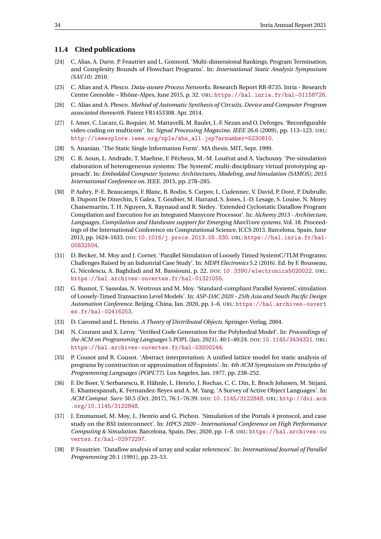# <span id="page-36-0"></span>**11.4 Cited publications**

- <span id="page-36-4"></span>[24] C. Alias, A. Darte, P. Feautrier and L. Gonnord. 'Multi-dimensional Rankings, Program Termination, and Complexity Bounds of Flowchart Programs'. In: *International Static Analysis Symposium (SAS'10)*. 2010.
- <span id="page-36-8"></span>[25] C. Alias and A. Plesco. *Data-aware Process Networks*. Research Report RR-8735. Inria - Research Centre Grenoble – Rhône-Alpes, June 2015, p. 32. URL: <https://hal.inria.fr/hal-01158726>.
- <span id="page-36-10"></span>[26] C. Alias and A. Plesco. *Method of Automatic Synthesis of Circuits, Device and Computer Program associated therewith*. Patent FR1453308. Apr. 2014.
- <span id="page-36-1"></span>[27] I. Amer, C. Lucarz, G. Roquier, M. Mattavelli, M. Raulet, J.-F. Nezan and O. Deforges. 'Reconfigurable video coding on multicore'. In: *Signal Processing Magazine, IEEE* 26.6 (2009), pp. 113–123. URL: [http://ieeexplore.ieee.org/xpls/abs\\_all.jsp?arnumber=5230810](http://ieeexplore.ieee.org/xpls/abs_all.jsp?arnumber=5230810).
- <span id="page-36-5"></span>[28] S. Ananian. 'The Static Single Information Form'. MA thesis. MIT, Sept. 1999.
- <span id="page-36-13"></span>[29] C. B. Aoun, L. Andrade, T. Maehne, F. Pêcheux, M.-M. Louërat and A. Vachouxy. 'Pre-simulation elaboration of heterogeneous systems: The SystemC multi-disciplinary virtual prototyping approach'. In: *Embedded Computer Systems: Architectures, Modeling, and Simulation (SAMOS), 2015 International Conference on*. IEEE. 2015, pp. 278–285.
- <span id="page-36-14"></span>[30] P. Aubry, P.-E. Beaucamps, F. Blanc, B. Bodin, S. Carpov, L. Cudennec, V. David, P. Doré, P. Dubrulle, B. Dupont De Dinechin, F. Galea, T. Goubier, M. Harrand, S. Jones, J.-D. Lesage, S. Louise, N. Morey Chaisemartin, T. H. Nguyen, X. Raynaud and R. Sirdey. 'Extended Cyclostatic Dataflow Program Compilation and Execution for an Integrated Manycore Processor'. In: *Alchemy 2013 - Architecture, Languages, Compilation and Hardware support for Emerging ManYcore systems*. Vol. 18. Proceedings of the International Conference on Computational Science, ICCS 2013. Barcelona, Spain, June 2013, pp. 1624–1633. DOI: [10.1016/j.procs.2013.05.330](https://doi.org/10.1016/j.procs.2013.05.330). URL: [https://hal.inria.fr/hal-](https://hal.inria.fr/hal-00832504)[00832504](https://hal.inria.fr/hal-00832504).
- <span id="page-36-11"></span>[31] D. Becker, M. Moy and J. Cornet. 'Parallel Simulation of Loosely Timed SystemC/TLM Programs: Challenges Raised by an Industrial Case Study'. In: *MDPI Electronics* 5.2 (2016). Ed. by F. Rousseau, G. Nicolescu, A. Baghdadi and M. Bassiouni, p. 22. DOI: [10.3390/electronics5020022](https://doi.org/10.3390/electronics5020022). URL: <https://hal.archives-ouvertes.fr/hal-01321055>.
- <span id="page-36-15"></span>[32] G. Busnot, T. Sassolas, N. Ventroux and M. Moy. 'Standard-compliant Parallel SystemC simulation of Loosely-Timed Transaction Level Models'. In: *ASP-DAC 2020 - 25th Asia and South Pacific Design Automation Conference*. Beijing, China, Jan. 2020, pp. 1–6. URL: [https://hal.archives-ouvert](https://hal.archives-ouvertes.fr/hal-02416253) [es.fr/hal-02416253](https://hal.archives-ouvertes.fr/hal-02416253).
- <span id="page-36-3"></span>[33] D. Caromel and L. Henrio. *A Theory of Distributed Objects*. Springer-Verlag, 2004.
- <span id="page-36-9"></span>[34] N. Courant and X. Leroy. 'Verified Code Generation for the Polyhedral Model'. In: *Proceedings of the ACM on Programming Languages* 5.POPL (Jan. 2021), 40:1–40:24. DOI: [10.1145/3434321](https://doi.org/10.1145/3434321). URL: <https://hal.archives-ouvertes.fr/hal-03000244>.
- <span id="page-36-6"></span>[35] P. Cousot and R. Cousot. 'Abstract interpretation: A unified lattice model for static analysis of programs by construction or approximation of fixpoints'. In: *4th ACM Symposium on Principles of Programming Languages (POPL'77)*. Los Angeles, Jan. 1977, pp. 238–252.
- <span id="page-36-2"></span>[36] F. De Boer, V. Serbanescu, R. Hähnle, L. Henrio, J. Rochas, C. C. Din, E. Broch Johnsen, M. Sirjani, E. Khamespanah, K. Fernandez-Reyes and A. M. Yang. 'A Survey of Active Object Languages'. In: *ACM Comput. Surv.* 50.5 (Oct. 2017), 76:1–76:39. DOI: [10.1145/3122848](https://doi.org/10.1145/3122848). URL: [http://doi.acm](http://doi.acm.org/10.1145/3122848) [.org/10.1145/3122848](http://doi.acm.org/10.1145/3122848).
- <span id="page-36-12"></span>[37] J. Emmanuel, M. Moy, L. Henrio and G. Pichon. 'Simulation of the Portals 4 protocol, and case study on the BXI interconnect'. In: *HPCS 2020 - International Conference on High Performance Computing & Simulation*. Barcelona, Spain, Dec. 2020, pp. 1–8. URL: [https://hal.archives-ou](https://hal.archives-ouvertes.fr/hal-02972297) [vertes.fr/hal-02972297](https://hal.archives-ouvertes.fr/hal-02972297).
- <span id="page-36-7"></span>[38] P. Feautrier. 'Dataflow analysis of array and scalar references'. In: *International Journal of Parallel Programming* 20.1 (1991), pp. 23–53.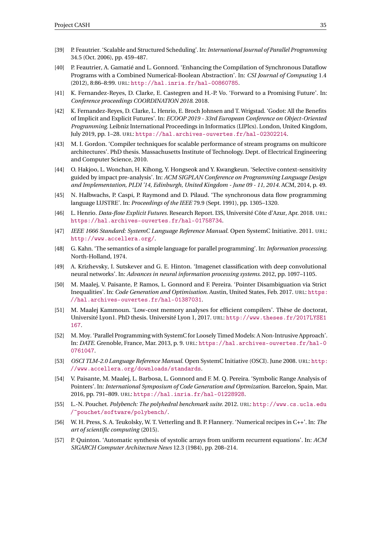- <span id="page-37-8"></span>[39] P. Feautrier. 'Scalable and Structured Scheduling'. In: *International Journal of Parallel Programming* 34.5 (Oct. 2006), pp. 459–487.
- <span id="page-37-5"></span>[40] P. Feautrier, A. Gamatié and L. Gonnord. 'Enhancing the Compilation of Synchronous Dataflow Programs with a Combined Numerical-Boolean Abstraction'. In: *CSI Journal of Computing* 1.4 (2012), 8:86–8:99. URL: <http://hal.inria.fr/hal-00860785>.
- <span id="page-37-2"></span>[41] K. Fernandez-Reyes, D. Clarke, E. Castegren and H.-P. Vo. 'Forward to a Promising Future'. In: *Conference proceedings COORDINATION 2018*. 2018.
- <span id="page-37-18"></span>[42] K. Fernandez-Reyes, D. Clarke, L. Henrio, E. Broch Johnsen and T. Wrigstad. 'Godot: All the Benefits of Implicit and Explicit Futures'. In: *ECOOP 2019 - 33rd European Conference on Object-Oriented Programming*. Leibniz International Proceedings in Informatics (LIPIcs). London, United Kingdom, July 2019, pp. 1–28. URL: <https://hal.archives-ouvertes.fr/hal-02302214>.
- <span id="page-37-9"></span>[43] M. I. Gordon. 'Compiler techniques for scalable performance of stream programs on multicore architectures'. PhD thesis. Massachusetts Institute of Technology. Dept. of Electrical Engineering and Computer Science, 2010.
- <span id="page-37-7"></span>[44] O. Hakjoo, L. Wonchan, H. Kihong, Y. Hongseok and Y. Kwangkeun. 'Selective context-sensitivity guided by impact pre-analysis'. In: *ACM SIGPLAN Conference on Programming Language Design and Implementation, PLDI '14, Edinburgh, United Kingdom - June 09 - 11, 2014*. ACM, 2014, p. 49.
- <span id="page-37-0"></span>[45] N. Halbwachs, P. Caspi, P. Raymond and D. Pilaud. 'The synchronous data flow programming language LUSTRE'. In: *Proceedings of the IEEE* 79.9 (Sept. 1991), pp. 1305–1320.
- <span id="page-37-17"></span>[46] L. Henrio. *Data-flow Explicit Futures*. Research Report. I3S, Université Côte d'Azur, Apr. 2018. URL: <https://hal.archives-ouvertes.fr/hal-01758734>.
- <span id="page-37-12"></span>[47] *IEEE 1666 Standard: SystemC Language Reference Manual*. Open SystemC Initiative. 2011. URL: <http://www.accellera.org/>.
- <span id="page-37-1"></span>[48] G. Kahn. 'The semantics of a simple language for parallel programming'. In: *Information processing*. North-Holland, 1974.
- <span id="page-37-16"></span>[49] A. Krizhevsky, I. Sutskever and G. E. Hinton. 'Imagenet classification with deep convolutional neural networks'. In: *Advances in neural information processing systems*. 2012, pp. 1097–1105.
- <span id="page-37-4"></span>[50] M. Maalej, V. Paisante, P. Ramos, L. Gonnord and F. Pereira. 'Pointer Disambiguation via Strict Inequalities'. In: *Code Generation and Optimisation*. Austin, United States, Feb. 2017. URL: [https:](https://hal.archives-ouvertes.fr/hal-01387031) [//hal.archives-ouvertes.fr/hal-01387031](https://hal.archives-ouvertes.fr/hal-01387031).
- <span id="page-37-6"></span>[51] M. Maalej Kammoun. 'Low-cost memory analyses for efficient compilers'. Thèse de doctorat, Université Lyon1. PhD thesis. Université Lyon 1, 2017. URL: [http://www.theses.fr/2017LYSE1](http://www.theses.fr/2017LYSE1167) [167](http://www.theses.fr/2017LYSE1167).
- <span id="page-37-13"></span>[52] M. Moy. 'Parallel Programming with SystemC for Loosely Timed Models: A Non-Intrusive Approach'. In: *DATE*. Grenoble, France, Mar. 2013, p. 9. URL: [https://hal.archives-ouvertes.fr/hal-0](https://hal.archives-ouvertes.fr/hal-00761047) [0761047](https://hal.archives-ouvertes.fr/hal-00761047).
- <span id="page-37-11"></span>[53] *OSCI TLM-2.0 Language Reference Manual*. Open SystemC Initiative (OSCI). June 2008. URL: [http:](http://www.accellera.org/downloads/standards) [//www.accellera.org/downloads/standards](http://www.accellera.org/downloads/standards).
- <span id="page-37-3"></span>[54] V. Paisante, M. Maalej, L. Barbosa, L. Gonnord and F. M. Q. Pereira. 'Symbolic Range Analysis of Pointers'. In: *International Symposium of Code Generation and Optmization*. Barcelon, Spain, Mar. 2016, pp. 791–809. URL: <https://hal.inria.fr/hal-01228928>.
- <span id="page-37-14"></span>[55] L.-N. Pouchet. *Polybench: The polyhedral benchmark suite*. 2012. URL: [http://www.cs.ucla.edu](http://www.cs.ucla.edu/~pouchet/software/polybench/) [/~pouchet/software/polybench/](http://www.cs.ucla.edu/~pouchet/software/polybench/).
- <span id="page-37-15"></span>[56] W. H. Press, S. A. Teukolsky, W. T. Vetterling and B. P. Flannery. 'Numerical recipes in C++'. In: *The art of scientific computing* (2015).
- <span id="page-37-10"></span>[57] P. Quinton. 'Automatic synthesis of systolic arrays from uniform recurrent equations'. In: *ACM SIGARCH Computer Architecture News* 12.3 (1984), pp. 208–214.